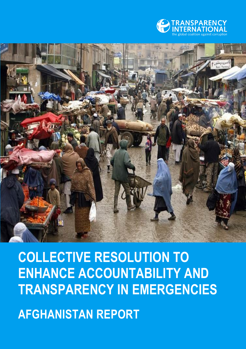



# **COLLECTIVE RESOLUTION TO ENHANCE ACCOUNTABILITY AND TRANSPARENCY IN EMERGENCIES**

**AFGHANISTAN REPORT**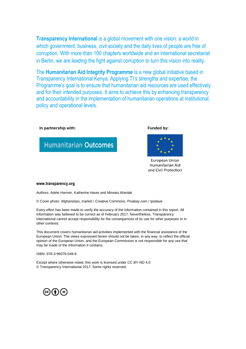**Transparency International** is a global movement with one vision: a world in which government, business, civil society and the daily lives of people are free of corruption. With more than 100 chapters worldwide and an international secretariat in Berlin, we are leading the fight against corruption to turn this vision into reality.

The **Humanitarian Aid Integrity Programme** is a new global initiative based in Transparency International Kenya. Applying TI's strengths and expertise, the Programme's goal is to ensure that humanitarian aid resources are used effectively and for their intended purposes. It aims to achieve this by enhancing transparency and accountability in the implementation of humanitarian operations at institutional, policy and operational levels.

#### **In partnership with: In partnership with: Funded by:**





European Union Humanitarian Aid and Civil Protection

#### **www.transparency.org**

Authors: Adele Harmer, Katherine Haver and Mirwais Wardak

© Cover photo: Afghanistan, market / Creative Commons, Pixabay.com / tpsdave

Every effort has been made to verify the accuracy of the information contained in this report. All information was believed to be correct as of February 2017. Nevertheless, Transparency International cannot accept responsibility for the consequences of its use for other purposes or in other contexts.

This document covers humanitarian aid activities implemented with the financial assistance of the European Union. The views expressed herein should not be taken, in any way, to reflect the official opinion of the European Union, and the European Commission is not responsible for any use that may be made of the information it contains.

ISBN: 978-3-96076-049-8

Except where otherwise noted, this work is licensed under CC BY-ND 4.0 © Transparency International 2017. Some rights reserved.

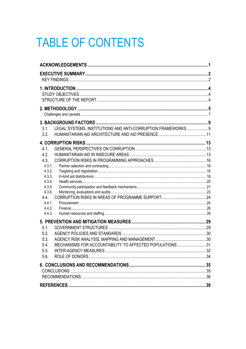## **TABLE OF CONTENTS**

| LEGAL SYSTEMS, INSTITUTIONS AND ANTI-CORRUPTION FRAMEWORKS 9<br>3.1. |  |
|----------------------------------------------------------------------|--|
| 3.2.                                                                 |  |
|                                                                      |  |
| 4.1.                                                                 |  |
| 4.2.                                                                 |  |
| 4.3.                                                                 |  |
| 4.3.1.                                                               |  |
| 4.3.2.                                                               |  |
| 4.3.3.                                                               |  |
| 4.3.4.                                                               |  |
| 4.3.5.                                                               |  |
| 4.3.6.<br>4.4.                                                       |  |
| 4.4.1.                                                               |  |
| 4.4.2.                                                               |  |
| 4.4.3.                                                               |  |
|                                                                      |  |
| 5.1.                                                                 |  |
| 5.2.                                                                 |  |
| 5.3.                                                                 |  |
| MECHANISMS FOR ACCOUNTABILITY TO AFFECTED POPULATIONS31<br>5.4.      |  |
| 5.5.                                                                 |  |
| 5.6.                                                                 |  |
|                                                                      |  |
|                                                                      |  |
|                                                                      |  |
|                                                                      |  |
|                                                                      |  |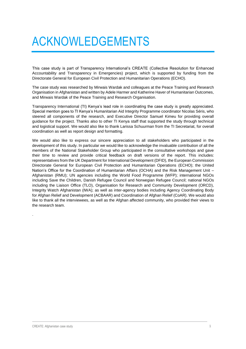## <span id="page-6-0"></span>ACKNOWLEDGEMENTS

This case study is part of Transparency International's CREATE (Collective Resolution for Enhanced Accountability and Transparency in Emergencies) project, which is supported by funding from the Directorate General for European Civil Protection and Humanitarian Operations (ECHO).

The case study was researched by Mirwais Wardak and colleagues at the Peace Training and Research Organisation in Afghanistan and written by Adele Harmer and Katherine Haver of Humanitarian Outcomes, and Mirwais Wardak of the Peace Training and Research Organisation.

Transparency International (TI) Kenya's lead role in coordinating the case study is greatly appreciated. Special mention goes to TI Kenya's Humanitarian Aid Integrity Programme coordinator Nicolas Séris, who steered all components of the research, and Executive Director Samuel Kimeu for providing overall guidance for the project. Thanks also to other TI Kenya staff that supported the study through technical and logistical support. We would also like to thank Larissa Schuurman from the TI Secretariat, for overall coordination as well as report design and formatting.

We would also like to express our sincere appreciation to all stakeholders who participated in the development of this study. In particular we would like to acknowledge the invaluable contribution of all the members of the National Stakeholder Group who participated in the consultative workshops and gave their time to review and provide critical feedback on draft versions of the report. This includes: representatives from the UK Department for International Development (DFID), the European Commission Directorate General for European Civil Protection and Humanitarian Operations (ECHO); the United Nation's Office for the Coordination of Humanitarian Affairs (OCHA) and the Risk Management Unit – Afghanistan (RMU); UN agencies including the World Food Programme (WFP); international NGOs including Save the Children, Danish Refugee Council and Norwegian Refugee Council; national NGOs including the Liaison Office (TLO), Organisation for Research and Community Development (ORCD), Integrity Watch Afghanistan (IWA); as well as inter-agency bodies including Agency Coordinating Body for Afghan Relief and Development (ACBAAR) and Coordination of Afghan Relief (CoAR). We would also like to thank all the interviewees, as well as the Afghan affected community, who provided their views to the research team.

.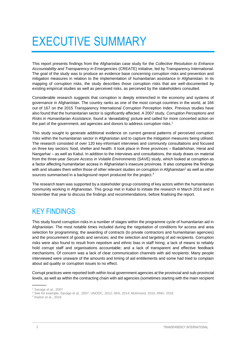## <span id="page-7-0"></span>EXECUTIVE SUMMARY

This report presents findings from the Afghanistan case study for the *Collective Resolution to Enhance Accountability and Transparency in Emergencies* (CREATE) initiative, led by Transparency International. The goal of the study was to produce an evidence base concerning corruption risks and prevention and mitigation measures in relation to the implementation of humanitarian assistance in Afghanistan. In its mapping of corruption risks, the study describes those corruption risks that are well-documented by existing empirical studies as well as perceived risks, as perceived by the stakeholders consulted.

Considerable research suggests that corruption is deeply entrenched in the economy and systems of governance in Afghanistan. The country ranks as one of the most corrupt countries in the world, at 166 out of 167 on the 2015 Transparency International Corruption Perception Index. Previous studies have also found that the humanitarian sector is significantly affected. A 2007 study, *Corruption Perceptions and Risks in Humanitarian Assistance*, found a 'devastating' picture and called for more concerted action on the part of the government, aid agencies and donors to address corruption risks. 1

This study sought to generate additional evidence on current general patterns of perceived corruption risks within the humanitarian sector in Afghanistan and to capture the mitigation measures being utilised. The research consisted of over 120 key-informant interviews and community consultations and focused on three key sectors: food, shelter and health. It took place in three provinces – Badakhshan, Herat and Nangarhar – as well as Kabul. In addition to the interviews and consultations, the study draws on material from the three-year *Secure Access in Volatile Environments* (SAVE) study, which looked at corruption as a factor affecting humanitarian access in Afghanistan's insecure provinces. It also compares the findings with and situates them within those of other relevant studies on corruption in Afghanistan<sup>2</sup> as well as other sources summarised in a background report produced for the project.<sup>3</sup>

The research team was supported by a stakeholder group consisting of key actors within the humanitarian community working in Afghanistan. This group met in Kabul to initiate the research in March 2016 and in November that year to discuss the findings and recommendations, before finalising the report.

## <span id="page-7-1"></span>KEY FINDINGS

This study found corruption risks in a number of stages within the programme cycle of humanitarian aid in Afghanistan. The most notable times included during the negotiation of conditions for access and area selection for programming; the awarding of contracts (to private contractors and humanitarian agencies) and the procurement of goods and services; and the selection and targeting of aid recipients. Corruption risks were also found to result from nepotism and ethnic bias in staff hiring; a lack of means to reliably hold corrupt staff and organisations accountable; and a lack of transparent and effective feedback mechanisms. Of concern was a lack of clear communication channels with aid recipients: Many people interviewed were unaware of the amounts and timing of aid entitlements and some had tried to complain about aid quality or corruption issues to no effect.

Corrupt practices were reported both within local government agencies at the provincial and sub-provincial levels, as well as within the contracting chain with aid agencies (sometimes starting with the main recipient

<sup>3</sup> Radon et al., 2016

<sup>1</sup> Savage et al., 2007

<sup>2</sup> See for example, Savage et al., 2007; UNODC, 2012; IWA, 2014; Mohmand, 2016; RMU, 2016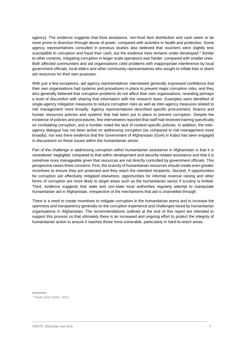agency). The evidence suggests that food assistance, non-food item distribution and cash seem to be more prone to diversion through abuse of power, compared with activities in health and protection. Some agency representatives consulted in previous studies also believed that vouchers were slightly less susceptible to corruption and fraud than cash, but the evidence here remains under-developed. <sup>4</sup> Similar to other contexts, mitigating corruption in larger scale operations was harder, compared with smaller ones. Both affected communities and aid organisations cited problems with inappropriate interference by local government officials, local elders and other community representatives who sought to inflate lists or divert aid resources for their own purposes.

With just a few exceptions, aid agency representatives interviewed generally expressed confidence that their own organisations had systems and procedures in place to prevent major corruption risks, and they also generally believed that corruption problems do not affect their own organisations, revealing perhaps a level of discomfort with sharing that information with the research team. Examples were identified of single-agency mitigation measures to reduce corruption risks as well as inter-agency measures related to risk management more broadly. Agency representatives described specific procurement, finance and human resources policies and systems that had been put in place to prevent corruption. Despite the existence of policies and procedures, few interviewees reported that staff had received training specifically on combatting corruption, and a number noted the lack of context-specific policies. In addition, the interagency dialogue has not been active on addressing corruption (as compared to risk-management more broadly), nor was there evidence that the Government of Afghanistan (GoA) in Kabul has been engaged in discussions on these issues within the humanitarian sector.

Part of the challenge in addressing corruption within humanitarian assistance in Afghanistan is that it is considered 'negligible' compared to that within development and security-related assistance and that it is somehow more manageable given that resources are not directly controlled by government officials. This perspective raises three concerns: First, the scarcity of humanitarian resources should create even greater incentives to ensure they are protected and they reach the intended recipients. Second, if opportunities for corruption are effectively mitigated elsewhere, opportunities for informal revenue raising and other forms of corruption are more likely to target areas such as the humanitarian sector if scrutiny is limited. Third, evidence suggests that state and non-state local authorities regularly attempt to manipulate humanitarian aid in Afghanistan, irrespective of the mechanisms that aid is channelled through.

There is a need to create incentives to mitigate corruption in the humanitarian arena and to increase the openness and transparency generally on the corruption experience and challenges faced by humanitarian organisations in Afghanistan. The recommendations outlined at the end of this report are intended to support this process so that ultimately there is an increased and ongoing effort to protect the integrity of humanitarian action to ensure it reaches those most vulnerable, particularly in hard-to-reach areas.

<sup>4</sup> Haver and Carter, 2015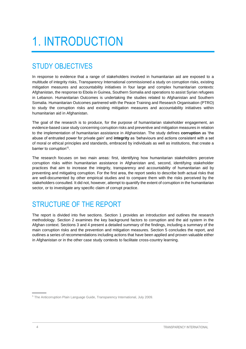## <span id="page-9-0"></span>1. INTRODUCTION

## <span id="page-9-1"></span>STUDY OBJECTIVES

In response to evidence that a range of stakeholders involved in humanitarian aid are exposed to a multitude of integrity risks, Transparency International commissioned a study on corruption risks, existing mitigation measures and accountability initiatives in four large and complex humanitarian contexts: Afghanistan, the response to Ebola in Guinea, Southern Somalia and operations to assist Syrian refugees in Lebanon. Humanitarian Outcomes is undertaking the studies related to Afghanistan and Southern Somalia. Humanitarian Outcomes partnered with the Peace Training and Research Organisation (PTRO) to study the corruption risks and existing mitigation measures and accountability initiatives within humanitarian aid in Afghanistan.

The goal of the research is to produce, for the purpose of humanitarian stakeholder engagement, an evidence-based case study concerning corruption risks and preventive and mitigation measures in relation to the implementation of humanitarian assistance in Afghanistan. The study defines **corruption** as 'the abuse of entrusted power for private gain' and **integrity** as 'behaviours and actions consistent with a set of moral or ethical principles and standards, embraced by individuals as well as institutions, that create a barrier to corruption'<sup>5</sup>.

The research focuses on two main areas: first, identifying how humanitarian stakeholders perceive corruption risks within humanitarian assistance in Afghanistan and, second, identifying stakeholder practices that aim to increase the integrity, transparency and accountability of humanitarian aid by preventing and mitigating corruption. For the first area, the report seeks to describe both actual risks that are well-documented by other empirical studies and to compare them with the risks perceived by the stakeholders consulted. It did not, however, attempt to quantify the extent of corruption in the humanitarian sector, or to investigate any specific claim of corrupt practice.

## <span id="page-9-2"></span>STRUCTURE OF THE REPORT

The report is divided into five sections. Section 1 provides an introduction and outlines the research methodology. Section 2 examines the key background factors to corruption and the aid system in the Afghan context. Sections 3 and 4 present a detailed summary of the findings, including a summary of the main corruption risks and the prevention and mitigation measures. Section 5 concludes the report, and outlines a series of recommendations including actions that have been applied and proven valuable either in Afghanistan or in the other case study contexts to facilitate cross-country learning.

<sup>5</sup> The Anticorruption Plain Language Guide, Transparency International, July 2009.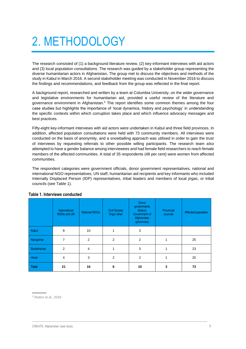## <span id="page-10-0"></span>2. METHODOLOGY

The research consisted of (1) a background literature review, (2) key-informant interviews with aid actors and (3) local population consultations. The research was guided by a stakeholder group representing the diverse humanitarian actors in Afghanistan**.** The group met to discuss the objectives and methods of the study in Kabul in March 2016. A second stakeholder meeting was conducted in November 2016 to discuss the findings and recommendations, and feedback from the group was reflected in the final report.

A background report, researched and written by a team at Columbia University, on the wider governance and legislative environments for humanitarian aid, provided a useful review of the literature and governance environment in Afghanistan.<sup>6</sup> The report identifies some common themes among the four case studies but highlights the importance of 'local dynamics, history and psychology' in understanding the specific contexts within which corruption takes place and which influence advocacy messages and best practices.

Fifty-eight key-informant interviews with aid actors were undertaken in Kabul and three field provinces. In addition, affected population consultations were held with 73 community members. All interviews were conducted on the basis of anonymity, and a snowballing approach was utilised in order to gain the trust of interviews by requesting referrals to other possible willing participants. The research team also attempted to have a gender balance among interviewees and had female field researchers to reach female members of the affected communities. A total of 35 respondents (48 per cent) were women from affected communities.

The respondent categories were government officials, donor government representatives, national and international NGO representatives, UN staff, humanitarian aid recipients and key informants who included Internally Displaced Person (IDP) representatives, tribal leaders and members of local *jirgas*, or tribal councils (see Table 1).

|              | International<br><b>NGOs and UN</b> | <b>National NGOs</b> | <b>Civil Society</b><br>Orgs/ other | <b>Donor</b><br>governments<br>(Kabul)<br>Government of<br>Afghanistan<br>(provinces) | Provincial<br>councils | Affected population |
|--------------|-------------------------------------|----------------------|-------------------------------------|---------------------------------------------------------------------------------------|------------------------|---------------------|
| Kabul        | 8                                   | 10                   |                                     | 3                                                                                     |                        |                     |
| Nangarhar    | 7                                   | $\overline{2}$       | 2                                   | 2                                                                                     | 1                      | 25                  |
| Badakhshan   | 2                                   | $\overline{4}$       | 1                                   | 3                                                                                     | 1                      | 23                  |
| Herat        | 4                                   | 3                    | $\overline{2}$                      | $\overline{2}$                                                                        | 1                      | 25                  |
| <b>Total</b> | 21                                  | 16                   | 6                                   | 10                                                                                    | 3                      | 73                  |

#### **Table 1. Interviews conducted**

<sup>6</sup> Radon et al., 2016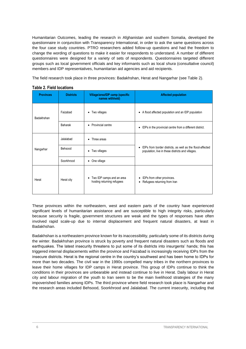Humanitarian Outcomes, leading the research in Afghanistan and southern Somalia, developed the questionnaire in conjunction with Transparency International, in order to ask the same questions across the four case study countries. PTRO researchers added follow-up questions and had the freedom to change the wording of questions to make it easier for respondents to understand. A number of different questionnaires were designed for a variety of sets of respondents. Questionnaires targeted different groups such as local government officials and key informants such as local *shura* (consultative council) members and IDP representatives, humanitarian aid agencies and aid recipients.

The field research took place in three provinces: Badakhshan, Herat and Nangarhar (see Table 2).

| <b>Provinces</b> | <b>Districts</b> | Village/area/IDP camp (specific<br>names withheld)           | <b>Affected population</b>                                                                                                  |  |
|------------------|------------------|--------------------------------------------------------------|-----------------------------------------------------------------------------------------------------------------------------|--|
| Badakhshan       | Faizabad         | Two villages<br>٠                                            | A flood affected population and an IDP population<br>٠                                                                      |  |
|                  | Baharak          | • Provincial centre                                          | IDPs in the provincial centre from a different district.<br>٠                                                               |  |
| Nangarhar        | Jalalabad        | Three areas<br>$\bullet$                                     | IDPs from border districts, as well as the flood-affected<br>$\bullet$<br>population, live in these districts and villages. |  |
|                  | Behsood          | Two villages<br>٠                                            |                                                                                                                             |  |
|                  | Soorkhrood       | One village<br>٠                                             |                                                                                                                             |  |
| Herat            | Herat city       | Two IDP camps and an area<br>٠<br>hosting returning refugees | IDPs from other provinces.<br>$\bullet$<br>• Refugees returning from Iran                                                   |  |

#### **Table 2. Field locations**

These provinces within the northeastern, west and eastern parts of the country have experienced significant levels of humanitarian assistance and are susceptible to high integrity risks, particularly because security is fragile, government structures are weak and the types of responses have often involved rapid scale-up due to internal displacement and frequent natural disasters, at least in Badakhshan.

Badakhshan is a northeastern province known for its inaccessibility, particularly some of its districts during the winter. Badakhshan province is struck by poverty and frequent natural disasters such as floods and earthquakes. The latest insecurity threatens to put some of its districts into insurgents' hands; this has triggered internal displacements within the province and Faizabad is increasingly receiving IDPs from the insecure districts. Herat is the regional centre in the country's southwest and has been home to IDPs for more than two decades. The civil war in the 1990s compelled many tribes in the northern provinces to leave their home villages for IDP camps in Herat province. This group of IDPs continue to think the conditions in their provinces are unbearable and instead continue to live in Herat. Daily labour in Herat city and labour migration of the youth to Iran seem to be the main livelihood strategies of the many impoverished families among IDPs. The third province where field research took place is Nangarhar and the research areas included Behsood, Soorkhrood and Jalalabad. The current insecurity, including that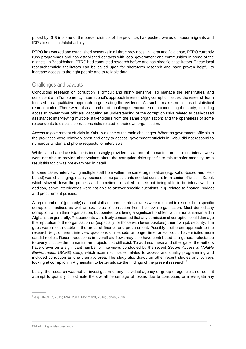posed by ISIS in some of the border districts of the province, has pushed waves of labour migrants and IDPs to settle in Jalalabad city.

PTRO has worked and established networks in all three provinces. In Herat and Jalalabad, PTRO currently runs programmes and has established contacts with local government and communities in some of the districts. In Badakhshan, PTRO had conducted research before and has hired field facilitators. These local researchers/field facilitators can be called upon for short-term research and have proven helpful to increase access to the right people and to reliable data.

### <span id="page-12-0"></span>Challenges and caveats

Conducting research on corruption is difficult and highly sensitive. To manage the sensitivities, and consistent with Transparency International's approach in researching corruption issues, the research team focused on a qualitative approach to generating the evidence. As such it makes no claims of statistical representation. There were also a number of challenges encountered in conducting the study, including acces to governmnet officials; capturing an understanding of the corruption risks related to cash-based assistance; interviewing multiple stakeholders from the same organisation; and the openeness of some respondents to discuss corruptions risks related to their own organisation.

Access to government officials in Kabul was one of the main challenges. Whereas government officials in the provinces were relatively open and easy to access, government officials in Kabul did not respond to numerous written and phone requests for interviews.

While cash-based assistance is increasingly provided as a form of humanitarian aid, most interviewees were not able to provide observations about the corruption risks specific to this transfer modality; as a result this topic was not examined in detail.

In some cases, interviewing multiple staff from within the same organisation (e.g. Kabul-based and fieldbased) was challenging, mainly because some participants needed consent from senior officials in Kabul, which slowed down the process and sometimes resulted in their not being able to be interviewed. In addition, some interviewees were not able to answer specific questions, e.g. related to finance, budget and procurement policies.

A large number of (primarily) national staff and partner interviewees were reluctant to discuss both specific corruption practices as well as examples of corruption from their own organisation. Most denied any corruption within their organisation, but pointed to it being a significant problem within humanitarian aid in Afghanistan generally. Respondents were likely concerned that any admission of corruption could damage the reputation of the organisation or (especially for those with lower positons) their own job security. The gaps were most notable in the areas of finance and procurement. Possibly a different approach to the research (e.g. different interview questions or methods or longer timeframes) could have elicited more candid replies. Recent reductions in overall aid flows may also have contributed to a general reluctance to overly criticise the humanitarian projects that still exist. To address these and other gaps, the authors have drawn on a significant number of interviews conducted by the recent *Secure Access in Volatile Environments* (SAVE) study, which examined issues related to access and quality programming and included corruption as one thematic area. The study also draws on other recent studies and surveys looking at corruption in Afghanistan to better situate the findings of the present research.<sup>7</sup>

Lastly, the research was not an investigation of any individual agency or group of agencies; nor does it attempt to quantify or estimate the overall percentage of losses due to corruption, or investigate any

<sup>7</sup> e.g. UNODC, 2012; IWA, 2014; Mohmand, 2016; Jones, 2016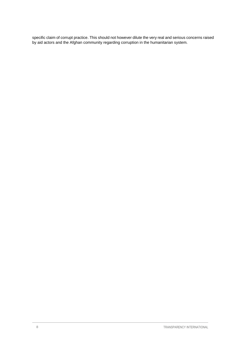specific claim of corrupt practice. This should not however dilute the very real and serious concerns raised by aid actors and the Afghan community regarding corruption in the humanitarian system.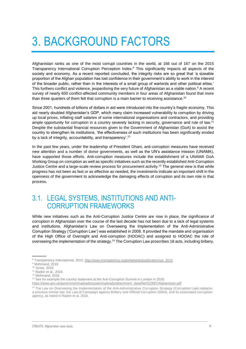## <span id="page-14-0"></span>3. BACKGROUND FACTORS

Afghanistan ranks as one of the most corrupt countries in the world, at 166 out of 167 on the 2015 Transparency International Corruption Perception Index. <sup>8</sup> This significantly impacts all aspects of the society and economy. As a recent reported concluded, the integrity risks are so great that 'a sizeable proportion of the Afghan population has lost confidence in their government's ability to work in the interest of the broader public, rather than in the interests of a small group of warlords and other political elites.' This furthers conflict and violence, jeopardising the very future of Afghanistan as a viable nation. <sup>9</sup> A recent survey of nearly 600 conflict-affected community members in four areas of Afghanistan found that more than three quarters of them felt that corruption is a main barrier to receiving assistance.<sup>10</sup>

Since 2001, hundreds of billions of dollars in aid were introduced into the country's fragile economy. This aid nearly doubled Afghanistan's GDP, which many claim increased vulnerability to corruption by driving up local prices, inflating staff salaries of some international organisations and contractors, and providing ample opportunity for corruption in a country severely lacking in security, governance and rule of law.<sup>11</sup> Despite the substantial financial resources given to the Government of Afghanistan (GoA) to assist the country to strengthen its institutions, 'the effectiveness of such institutions has been significantly eroded by a lack of integrity, accountability, and transparency'.<sup>12</sup>

In the past few years, under the leadership of President Ghani, anti-corruption measures have received new attention and a number of donor governments, as well as the UN's assistance mission (UNAMA), have supported those efforts. Anti-corruption measures include the establishment of a UNAMA GoA Working Group on corruption as well as specific initiatives such as the recently established Anti-Corruption Justice Centre and a large-scale review process for procurement activity. <sup>13</sup> The general view is that while progress has not been as fast or as effective as needed, the investments indicate an important shift in the openness of the government to acknowledge the damaging effects of corruption and its own role in that process.

### <span id="page-14-1"></span>3.1. LEGAL SYSTEMS, INSTITUTIONS AND ANTI-CORRUPTION FRAMEWORKS

While new initiatives such as the Anti-Corruption Justice Centre are now in place, the significance of corruption in Afghanistan over the course of the last decade has not been due to a lack of legal systems and institutions. Afghanistan's Law on Overseeing the Implementation of the Anti-Administrative Corruption Strategy ('Corruption Law') was established in 2008. It provided the mandate and organisation of the High Office of Oversight and Anti-corruption (HOOAC) and assigned to HOOAC the role of overseeing the implementation of the strategy.<sup>14</sup> The Corruption Law proscribes 18 acts, including bribery,

<sup>8</sup> Transparency International, 2015. [http://www.transparency.org/whatwedo/publication/cpi\\_2015](http://www.transparency.org/whatwedo/publication/cpi_2015)

<sup>&</sup>lt;sup>9</sup> Mohmand, 2016

<sup>10</sup> Jones, 2016

<sup>11</sup> Radon et al., 2016

<sup>12</sup> Mohmand, 2016

<sup>&</sup>lt;sup>13</sup> See for example the country statement at the Anti-Corruption Summit in London in 2016:

[https://www.gov.uk/government/uploads/system/uploads/attachment\\_data/file/522697/Afghanistan.pdf](https://www.gov.uk/government/uploads/system/uploads/attachment_data/file/522697/Afghanistan.pdf)

<sup>&</sup>lt;sup>14</sup> The Law on Overseeing the Implementation of the Anti-Administrative Corruption Strategy (Corruption Law) replaces a previous similar law, the Law of Campaign against Bribery and Official Corruption (2004), and its associated corruption agency, as noted in Radon et al. 2016.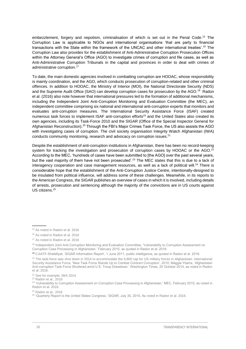embezzlement, forgery and nepotism, criminalisation of which is set out in the Penal Code. <sup>15</sup> The Corruption Law is applicable to NGOs and international organisations 'that are party to financial transactions with the State within the framework of the UNCAC and other international treaties'.<sup>16</sup> The Corruption Law also provides for the establishment of Anti-Administrative Corruption Prosecution Offices within the Attorney General's Office (AGO) to investigate crimes of corruption and file cases, as well as Anti-Administrative Corruption Tribunals in the capital and provinces in order to deal with crimes of administrative corruption. 17

To date, the main domestic agencies involved in combatting corruption are HOOAC, whose responsibility is mainly coordination, and the AGO, which conducts prosecution of corruption-related and other criminal offences. In addition to HOOAC, the Ministry of Interior (MOI), the National Directorate Security (NDS) and the Supreme Audit Office (SAO) can develop corruption cases for prosecution by the AGO.<sup>18</sup> Radon et al. (2016) also note however that international pressures led to the formation of additional mechanisms, including the Independent Joint Anti-Corruption Monitoring and Evaluation Committee (the MEC), an independent committee comprising six national and international anti-corruption experts that monitors and evaluates anti-corruption measures. The International Security Assistance Force (ISAF) created numerous task forces to implement ISAF anti-corruption efforts<sup>19</sup> and the United States also created its own agencies, including its Task-Force 2010 and the SIGAR (Office of the Special Inspector General for Afghanistan Reconstruction).<sup>20</sup> Through the FBI's Major Crimes Task Force, the US also assists the AGO with investigating cases of corruption. The civil society organisation Integrity Watch Afghanistan (IWA) conducts community monitoring, research and advocacy on corruption issues.<sup>21</sup>

Despite the establishment of anti-corruption institutions in Afghanistan, there has been no record-keeping system for tracking the investigation and prosecution of corruption cases by HOOAC or the AGO.<sup>22</sup> According to the MEC, 'hundreds of cases have been submitted to [the AGO] over the past several years, but the vast majority of them have not been prosecuted'. <sup>23</sup> The MEC states that this is due to a lack of interagency cooperation and case management resources, as well as a lack of political will.<sup>24</sup> There is considerable hope that the establishment of the Anti-Corruption Justice Centre, intentionally-designed to be insulated from political influence, will address some of these challenges. Meanwhile, in its reports to the American Congress, the SIGAR publishes an overview of cases in which it is involved, including details of arrests, prosecution and sentencing although the majority of the convictions are in US courts against US citizens. 25

<sup>24</sup> Radon et al., 2016

<sup>15</sup> As noted in Radon et al. 2016

<sup>16</sup> As noted in Radon et al. 2016

<sup>&</sup>lt;sup>17</sup> As noted in Radon et al. 2016

<sup>18</sup> Independent Joint Anti-Corruption Monitoring and Evaluation Committee, 'Vulnerability to Corruption Assessment on Corruption Case Processing in Afghanistan,' February 2015, as quoted in Radon et al. 2016.

<sup>19</sup> CJIATF-Shafafiyat, 'SIGAR Information Report', 1 June 2011, public intelligence, as quoted in Radon et al. 2016.

<sup>&</sup>lt;sup>20</sup> The task-force was shut down in 2014 to accommodate the 9,800 cap for US military forces in Afghanistan. International Security Assistance Force, 'New Task Force Stands Up to Combat Contract Corruption', 2010; Maggie Ybarra, 'Afghanistan Anti-corruption Task Force Shuttered amid U.S. Troop Drawdown,' Washington Times, 20 October 2014, as noted in Radon et al. 2016.

<sup>21</sup> See for example, IWA 2014

<sup>22</sup> Radon et al., 2016

<sup>&</sup>lt;sup>23</sup> 'Vulnerability to Corruption Assessment on Corruption Case Processing in Afghanistan,' MEC, February 2015, as noted in Radon et al. 2016.

<sup>&</sup>lt;sup>25</sup> 'Quarterly Report to the United States Congress,' SIGAR, July 30, 2015, As noted in Radon et al. 2016.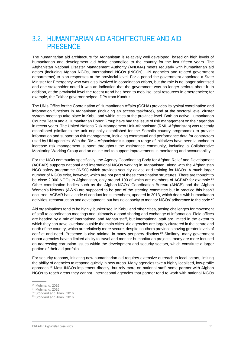## <span id="page-16-0"></span>3.2. HUMANITARIAN AID ARCHITECTURE AND AID **PRESENCE**

The humanitarian aid architecture for Afghanistan is relatively well developed, based on high levels of humanitarian and development aid being channelled to the country for the last fifteen years. The Afghanistan National Disaster Management Authority (ANDMA) meets regularly with humanitarian aid actors (including Afghan NGOs, International NGOs (INGOs), UN agencies and related government departments) to plan responses at the provincial level. For a period the government appointed a State Minister for Emergency who was also involved in coordination efforts, but the role is no longer prioritised and one stakeholder noted it was an indication that the government was no longer serious about it. In addition, at the provincial level the recent trend has been to mobilise local resources in emergencies; for example, the Takhar governor helped IDPs from Kunduz.

The UN's Office for the Coordination of Humanitarian Affairs (OCHA) provides its typical coordination and information functions in Afghanistan (including an access taskforce), and at the sectoral level cluster system meetings take place in Kabul and within cities at the province level. Both an active Humanitarian Country Team and a Humanitarian Donor Group have had the issue of risk management on their agendas in recent years. The United Nations Risk Management Unit-Afghanistan (RMU-Afghanistan) was recently established (similar to the unit originally established for the Somalia country programme) to provide information and support on risk management, including contractual and performance data for contractors used by UN agencies. With the RMU-Afghanistan's support, a range of initiatives have been launched to increase risk management support throughout the assistance community, including a Collaborative Monitoring Working Group and an online tool to support improvements in monitoring and accountability.

For the NGO community specifically, the Agency Coordinating Body for Afghan Relief and Development (ACBAR) supports national and international NGOs working in Afghanistan, along with the Afghanistan NGO safety programme (INSO) which provides security advice and training for NGOs. A much larger number of NGOs exist, however, which are not part of these coordination structures. There are thought to be close 2,000 NGOs in Afghanistan, only around 100 of which are members of ACBAR for example.<sup>26</sup> Other coordination bodies such as the Afghan NGOs' Coordination Bureau (ANCB) and the Afghan Women's Network (AWN) are supposed to be part of the steering committee but in practice this hasn't occurred. ACBAR has a code of conduct for its members, updated in 2013, which deals with humanitarian activities, reconstruction and development, but has no capacity to monitor NGOs' adherence to the code.<sup>27</sup>

Aid organisations tend to be highly 'bunkerised' in Kabul and other cities, posing challenges for movement of staff to coordination meetings and ultimately a good sharing and exchange of information. Field offices are headed by a mix of international and Afghan staff, but international staff are limited in the extent to which they can travel overland outside the main cities. Aid agencies are largely clustered in the centre and north of the country, which are relatively more secure, despite southern provinces having greater levels of conflict and need. Presence is also minimal in many periphery districts.<sup>28</sup> Similarly, many government donor agencies have a limited ability to travel and monitor humanitarian projects; many are more focused on addressing corruption issues within the development and security sectors, which constitute a larger portion of their aid portfolio.

For security reasons, initiating new humanitarian aid requires extensive outreach to local actors, limiting the ability of agencies to respond quickly in new areas. Many agencies take a highly localised, low-profile approach.<sup>29</sup> Most INGOs implement directly, but rely more on national staff; some partner with Afghan NGOs to reach areas they cannot. International agencies that partner tend to work with national NGOs

<sup>29</sup> Stoddard and Jillani, 2016

<sup>26</sup> Mohmand, 2016

<sup>27</sup> Mohmand, 2016

<sup>28</sup> Stoddard and Jillani, 2016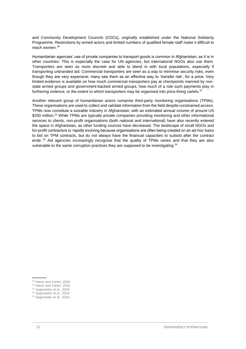and Community Development Councils (CDCs), originally established under the National Solidarity Programme. Restrictions by armed actors and limited numbers of qualified female staff make it difficult to reach women. 30

Humanitarian agencies' use of private companies to transport goods is common in Afghanistan, as it is in other countries. This is especially the case for UN agencies, but international NGOs also use them. Transporters are seen as more discreet and able to blend in with local populations, especially if transporting unbranded aid. Commercial transporters are seen as a way to minimise security risks, even though they are very expensive; many see them as an effective way to 'transfer risk', for a price. Very limited evidence is available on how much commercial transporters pay at checkpoints manned by nonstate armed groups and government-backed armed groups, how much of a role such payments play in furthering violence, or the extent to which transporters may be organised into price-fixing cartels. $^{31}$ 

Another relevant group of humanitarian actors comprise third-party monitoring organisations (TPMs). These organisations are used to collect and validate information from the field despite constrained access. TPMs now constitute a sizeable industry in Afghanistan, with an estimated annual volume of around US \$200 million.<sup>32</sup> While TPMs are typically private companies providing monitoring and other informational services to clients, non-profit organisations (both national and international) have also recently entered the space in Afghanistan, as other funding sources have decreased. The landscape of small NGOs and for-profit contractors is 'rapidly evolving because organisations are often being created on an ad-hoc basis to bid on TPM contracts, but do not always have the financial capacities to subsist after the contract ends'. <sup>33</sup> Aid agencies increasingly recognise that the quality of TPMs varies and that they are also vulnerable to the same corruption practices they are supposed to be investigating.<sup>34</sup>

<sup>&</sup>lt;sup>30</sup> Haver and Carter, 2016

<sup>&</sup>lt;sup>31</sup> Haver and Carter, 2016

<sup>32</sup> Sagmeister et al., 2016

<sup>&</sup>lt;sup>33</sup> Sagmeister et al., 2016

<sup>&</sup>lt;sup>34</sup> Sagmeister et al., 2016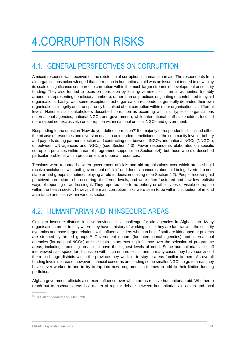## <span id="page-18-0"></span>4.CORRUPTION RISKS

## <span id="page-18-1"></span>4.1. GENERAL PERSPECTIVES ON CORRUPTION

A mixed response was received on the existence of corruption in humanitarian aid. The respondents from aid organisations acknowledged that corruption in humanitarian aid was an issue, but tended to downplay its scale or significance compared to corruption within the much larger streams of development or security funding. They also tended to focus on corruption by local government or informal authorities (notably around misrepresenting beneficiary numbers), rather than on practices originating or contributed to by aid organisations. Lastly, with some exceptions, aid organisation respondents generally defended their own organisations' integrity and transparency but talked about corruption within other organisations at different levels. National staff stakeholders described corruption as occurring within all types of organisations (international agencies, national NGOs and government), while international staff stakeholders focused more (albeit not exclusively) on corruption within national or local NGOs and government.

Responding to the question 'How do you define corruption?' the majority of respondents discussed either the misuse of resources and diversion of aid to unintended beneficiaries at the community level or bribery and pay-offs during partner selection and contracting (i.e. between INGOs and national NGOs (NNGOs), or between UN agencies and NGOs) (see Section 4.3). Fewer respondents elaborated on specific corruption practices within areas of programme support (see Section 4.4), but those who did described particular problems within procurement and human resources.

Tensions were reported between government officials and aid organisations over which areas should receive assistance, with both government officials' and donors' concerns about aid being diverted to nonstate armed groups sometimes playing a role in decision-making (see Section 4.2). People receiving aid perceived corruption to be occurring at different levels, and were often frustrated and saw few realistic ways of reporting or addressing it. They reported little to no bribery or other types of visible corruption within the health sector, however; the main corruption risks were seen to be within distribution of in-kind assistance and cash within various sectors.

## <span id="page-18-2"></span>4.2. HUMANITARIAN AID IN INSECURE AREAS

Going to insecure districts in new provinces is a challenge for aid agencies in Afghanistan. Many organisations prefer to stay where they have a history of working, since they are familiar with the security dynamics and have forged relations with influential elders who can help if staff are kidnapped or projects are stopped by armed groups.<sup>35</sup> Government donors (for international agencies) and international agencies (for national NGOs) are the main actors exerting influence over the selection of programme areas, including promoting areas that have the highest levels of need. Some humanitarian aid staff interviewed said space for discussion with such donors exists, and in many cases they have convinced them to change districts within the province they work in, to stay in areas familiar to them. As overall funding levels decrease, however, financial concerns are leading some smaller NGOs to go to areas they have never worked in and to try to tap into new programmatic themes to add to their limited funding portfolios.

Afghan government officials also exert influence over which areas receive humanitarian aid. Whether to reach out to insecure areas is a matter of regular debate between humanitarian aid actors and local

<sup>&</sup>lt;sup>35</sup> See also Stoddard and Jillani, 2016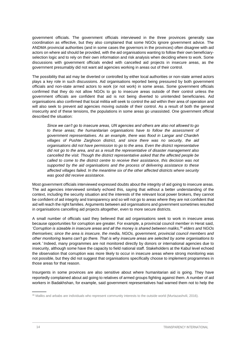government officials. The government officials interviewed in the three provinces generally saw coordination as effective, but they also complained that some NGOs ignore government advice. The ANDMA provincial authorities (and in some cases the governors in the provinces) often disagree with aid actors on where aid should be provided, with the aid organisations wanting to follow their own beneficiaryselection logic and to rely on their own information and risk analysis when deciding where to work. Some discussions with government officials ended with cancelled aid projects in insecure areas, as the government presumably did not want aid agencies working in areas out of their control.

The possibility that aid may be diverted or controlled by either local authorities or non-state armed actors plays a key role in such discussions. Aid organisations reported being pressured by both government officials and non-state armed actors to work (or not work) in some areas. Some government officials confirmed that they do not allow NGOs to go to insecure areas outside of their control unless the government officials are confident that aid is not being diverted to unintended beneficiaries. Aid organisations also confirmed that local militia will seek to control the aid within their area of operation and will also seek to prevent aid agencies moving outside of their control. As a result of both the general insecurity and of these tensions, the populations in some areas go unassisted. One government official described the situation:

*Since we can't go to insecure areas, UN agencies and others are also not allowed to go*  to these areas; the humanitarian organisations have to follow the assessment of *government representatives. As an example, there was flood in Langar and Chardeh villages of Pushte Zarghoon district, and since there was no security, the aid organisations did not have permission to go to the area. Even the district representative did not go to the area, and as a result the representative of disaster management also cancelled the visit. Though the district representative asked that the affected people be called to come to the district centre to receive their assistance, this decision was not supported by the aid organisations and the process of delivering assistance to these affected villages failed. In the meantime six of the other affected districts where security was good did receive assistance.*

Most government officials interviewed expressed doubts about the integrity of aid going to insecure areas. The aid agencies interviewed similarly echoed this, saying that without a better understanding of the context, including the security situation and the interests of the relevant local power brokers, they cannot be confident of aid integrity and transparency and so will not go to areas where they are not confident that aid will reach the right families. Arguments between aid organisations and government sometimes resulted in organisations cancelling aid projects altogether, even to more secure districts.

A small number of officials said they believed that aid organisations seek to work in insecure areas because opportunities for corruption are greater. For example, a provincial council member in Herat said, *'Corruption is sizeable in insecure areas and all the money is shared between maliks,*<sup>36</sup> *elders and NGOs themselves; since the area is insecure, the media, NGOs, government, provincial council members and other monitoring teams can't go there. That is why insecure areas are selected by some organisations to work.'* Indeed, many programmes are not monitored directly by donors or international agencies due to insecurity, although some have the capacity to field national staff. Stakeholders at the Kabul level echoed the observation that corruption was more likely to occur in insecure areas where strong monitoring was not possible, but they did not suggest that organisations specifically choose to implement programmes in those areas for that reason.

Insurgents in some provinces are also sensitive about where humanitarian aid is going. They have reportedly complained about aid going to relatives of armed groups fighting against them. A number of aid workers in Badakhshan, for example, said government representatives had warned them not to help the

<sup>&</sup>lt;sup>36</sup> Maliks and arbabs are individuals who represent community interests to the outside world (Murtazashvili, 2016).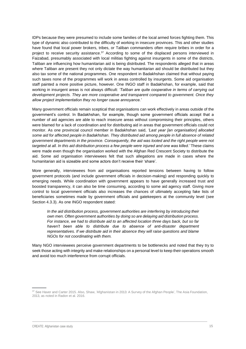IDPs because they were presumed to include some families of the local armed forces fighting them. This type of dynamic also contributed to the difficulty of working in insecure provinces. This and other studies have found that local power brokers, tribes, or Taliban commanders often require bribes in order for a project to receive security assistance.<sup>37</sup> According to some of the displaced persons interviewed in Faizabad, presumably associated with local militias fighting against insurgents in some of the districts, Taliban are influencing how humanitarian aid is being distributed. The respondents alleged that in areas where Taliban are present they not only dictate the way humanitarian aid should be distributed but they also tax some of the national programmes. One respondent in Badakhshan claimed that without paying such taxes none of the programmes will work in areas controlled by insurgents. Some aid organisation staff painted a more positive picture, however. One INGO staff in Badakhshan, for example, said that working in insurgent areas is not always difficult: *'Taliban are quite cooperative in terms of carrying out development projects. They are more cooperative and transparent compared to government. Once they allow project implementation they no longer cause annoyance.'*

Many government officials remain sceptical that organisations can work effectively in areas outside of the government's control. In Badakhshan, for example, though some government officials accept that a number of aid agencies are able to reach insecure areas without compromising their principles, others were blamed for a lack of coordination and for distributing aid in areas that government officials could not monitor. As one provincial council member in Badakhshan said*, 'Last year [an organisation] allocated some aid for affected people in Badakhshan. They distributed aid among people in full absence of related government departments in the province. Consequently, the aid was looted and the right people were not targeted at all. In this aid distribution process a few people were injured and one was killed.'* These claims were made even though the organisation worked with the Afghan Red Crescent Society to distribute the aid. Some aid organisation interviewees felt that such allegations are made in cases where the humanitarian aid is sizeable and some actors don't receive their 'share'.

More generally, interviewees from aid organisations reported tensions between having to follow government protocols (and include government officials in decision-making) and responding quickly to emerging needs. While coordination with government appears to have generally increased trust and boosted transparency, it can also be time consuming, according to some aid agency staff. Giving more control to local government officials also increases the chances of ultimately accepting fake lists of beneficiaries sometimes made by government officials and gatekeepers at the community level (see Section 4.3.3). As one INGO respondent stated:

*In the aid distribution process, government authorities are interfering by introducing their own men. Often government authorities by doing so are delaying aid distribution process. For instance, we had to distribute aid to an affected location three days back, but so far haven't been able to distribute due to absence of anti-disaster department representatives. If we distribute aid in their absence they will raise questions and blame NGOs for not coordinating with them.*

Many NGO interviewees perceive government departments to be bottlenecks and noted that they try to seek those acting with integrity and make relationships on a personal level to keep their operations smooth and avoid too much interference from corrupt officials.

<sup>37</sup> See Haver and Carter 2015. Also, Shaw, 'Afghanistan in 2013: A Survey of the Afghan People', The Asia Foundation, 2013, as noted in Radon et al. 2016.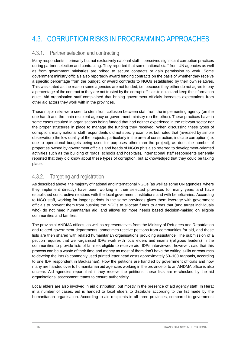## <span id="page-21-0"></span>4.3. CORRUPTION RISKS IN PROGRAMMING APPROACHES

### <span id="page-21-1"></span>4.3.1. Partner selection and contracting

Many respondents – primarily but not exclusively national staff – perceived significant corruption practices during partner selection and contracting. They reported that some national staff from UN agencies as well as from government ministries are bribed to secure contracts or gain permission to work. Some government ministry officials also reportedly award funding contracts on the basis of whether they receive a specific percentage from the budget, or award contracts to NGOs established by their own relatives. This was stated as the reason some agencies are not funded, i.e. because they either do not agree to pay a percentage of the contract or they are not trusted by the corrupt officials to do so and keep the information quiet. Aid organisation staff complained that bribing government officials increases expectations from other aid actors they work with in the provinces.

These major risks were seen to stem from collusion between staff from the implementing agency (on the one hand) and the main recipient agency or government ministry (on the other). These practices have in some cases resulted in organisations being funded that had neither experience in the relevant sector nor the proper structures in place to manage the funding they received. When discussing these types of corruption, many national staff respondents did not specify examples but noted that (revealed by simple observation) the low quality of the projects, particularly in the area of construction, indicate corruption (i.e. due to operational budgets being used for purposes other than the project), as does the number of properties owned by government officials and heads of NGOs (this also referred to development-oriented activities such as the building of roads, schools and hospitals). International staff respondents generally reported that they did know about these types of corruption, but acknowledged that they could be taking place.

### <span id="page-21-2"></span>4.3.2. Targeting and registration

As described above, the majority of national and international NGOs (as well as some UN agencies, where they implement directly) have been working in their selected provinces for many years and have established constructive relations with the local government institutions and with beneficiaries. According to NGO staff, working for longer periods in the same provinces gives them leverage with government officials to prevent them from pushing the NGOs to allocate funds to areas that (and target individuals who) do not need humanitarian aid, and allows for more needs based decision-making on eligible communities and families.

The provincial ANDMA offices, as well as representatives from the Ministry of Refugees and Repatriation and related government departments, sometimes receive petitions from communities for aid, and these lists are then shared with related humanitarian organisations providing assistance. The submission of a petition requires that well-organised IDPs work with local elders and imams (religious leaders) in the communities to provide lists of families eligible to receive aid. IDPs interviewed, however, said that this process can be a waste of their time and money as most of them don't have the writing skills or resources to develop the lists (a commonly used printed letter head costs approximately 50–100 Afghanis, according to one IDP respondent in Badkashan). How the petitions are handled by government officials and how many are handed over to humanitarian aid agencies working in the province or to an ANDMA office is also unclear. Aid agencies report that if they receive the petitions, these lists are re-checked by the aid organisations' assessment teams to ensure authenticity.

Local elders are also involved in aid distribution, but mostly in the presence of aid agency staff. In Herat in a number of cases, aid is handed to local elders to distribute according to the list made by the humanitarian organisation. According to aid recipients in all three provinces, compared to government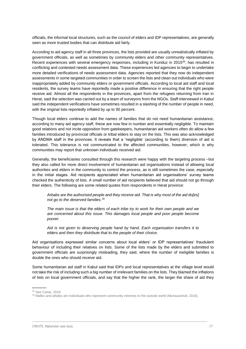officials, the informal local structures, such as the council of elders and IDP representatives, are generally seen as more trusted bodies that can distribute aid fairly.

According to aid agency staff in all three provinces, the lists provided are usually unrealistically inflated by government officials, as well as sometimes by community elders and other community representatives. Recent experiences with several emergency responses, including in Kunduz in 2015<sup>38</sup>, has resulted in conflicting and contested needs assessment data. These experiences led agencies to begin to undertake more detailed verifications of needs assessment data. Agencies reported that they now do independent assessments in some targeted communities in order to screen the lists and clean out individuals who were inappropriately added by community elders or government officials. According to local aid staff and local residents, the survey teams have reportedly made a positive difference in ensuring that the right people receive aid. Almost all the respondents in the provinces, apart from the refugees returning from Iran in Herat, said the selection was carried out by a team of surveyors from the NGOs. Staff interviewed in Kabul said the independent verifications have sometimes resulted in a slashing of the number of people in need, with the original lists reportedly inflated by up to 90 percent.

Though local elders continue to add the names of families that do not need humanitarian assistance, according to many aid agency staff, these are now few in number and essentially negligible. To maintain good relations and not incite opposition from gatekeepers, humanitarian aid workers often do allow a few families introduced by provincial officials or tribal elders to stay on the lists. This was also acknowledged by ANDMA staff in the provinces. It reveals that a 'negligible' (according to them) diversion of aid is tolerated. This tolerance is not communicated to the affected communities, however, which is why communities may report that unknown individuals received aid.

Generally, the beneficiaries consulted through this research were happy with the targeting process –but they also called for more direct involvement of humanitarian aid organisations instead of allowing local authorities and elders in the community to control the process, as is still sometimes the case, especially in the initial stages. Aid recipients appreciated when humanitarian aid organisations' survey teams checked the authenticity of lists. A small number of aid recipients believed that aid should not go through their elders. The following are some related quotes from respondents in Herat province:

*Arbabs are the authorised people and they receive aid. That is why most of the aid do[es] not go to the deserved families.<sup>39</sup>*

*The main issue is that the elders of each tribe try to work for their own people and we are concerned about this issue. This damages local people and poor people become poorer.*

*Aid is not given to deserving people hand by hand. Each organisation transfers it to elders and then they distribute that to the people of their choice.*

Aid organisations expressed similar concerns about local elders' or IDP representatives' fraudulent behaviour of including their relatives on lists. Some of the lists made by the elders and submitted to government officials are surprisingly misleading, they said, where the number of ineligible families is double the ones who should receive aid.

Some humanitarian aid staff in Kabul said that IDPs and local representatives at the village level would not take the risk of including such a big number of irrelevant families on the lists. They blamed the inflations of lists on local government officials, and say that the higher the rank, the larger the share of aid they

<sup>&</sup>lt;sup>38</sup> See Carter, 2016

<sup>&</sup>lt;sup>39</sup> Maliks and arbabs are individuals who represent community interests to the outside world (Murtazashvili, 2016).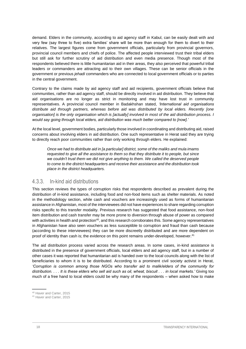demand. Elders in the community, according to aid agency staff in Kabul, can be easily dealt with and very few (say three to five) extra families' share will be more than enough for them to divert to their relatives. The largest figures come from government officials, particularly from provincial governors, provincial council members and chiefs of police. The affected people interviewed trust their tribal elders but still ask for further scrutiny of aid distribution and even media presence. Though most of the respondents believed there is little humanitarian aid in their areas, they also perceived that powerful tribal leaders or commanders are attracting aid to their own villages. These can be senior officials in the government or previous *jehadi* commanders who are connected to local government officials or to parties in the central government.

Contrary to the claims made by aid agency staff and aid recipients, government officials believe that communities, rather than aid agency staff, should be directly involved in aid distribution. They believe that aid organisations are no longer as strict in monitoring and may have lost trust in community representatives. A provincial council member in Badakhshan stated, *'International aid organisations distribute aid through partners, whereas before aid was distributed by local elders. Recently [one organisation] is the only organisation which is [actually] involved in most of the aid distribution process. I would say going through local elders, aid distribution was much better compared to [now].'*

At the local level, government bodies, particularly those involved in coordinating and distributing aid, raised concerns about involving elders in aid distribution. One such representative in Herat said they are trying to directly reach poor communities rather than only working through elders. He explained:

*Once we had to distribute aid in [a particular] district, some of the maliks and mula imams requested to give all the assistance to them so that they distribute it to people, but since we couldn't trust them we did not give anything to them. We called the deserved people to come to the district headquarters and receive their assistance and the distribution took place in the district headquarters.*

### <span id="page-23-0"></span>4.3.3. In-kind aid distributions

This section reviews the types of corruption risks that respondents described as prevalent during the distribution of in-kind assistance, including food and non-food items such as shelter materials. As noted in the methodology section, while cash and vouchers are increasingly used as forms of humanitarian assistance in Afghanistan, most of the interviewees did not have experiences to share regarding corruption risks specific to this transfer modality. Previous research has suggested that food assistance, non-food item distribution and cash transfer may be more prone to diversion through abuse of power as compared with activities in health and protection<sup>40</sup>, and this research corroborates this. Some agency representatives in Afghanistan have also seen vouchers as less susceptible to corruption and fraud than cash because (according to these interviewees) they can be more discreetly distributed and are more dependent on proof of identity than cash is; the evidence on this point remains under-developed, however.<sup>41</sup>

The aid distribution process varied across the research areas. In some cases, in-kind assistance is distributed in the presence of government officials, local elders and aid agency staff, but in a number of other cases it was reported that humanitarian aid is handed over to the local councils along with the list of beneficiaries to whom it is to be distributed. According to a prominent civil society activist in Herat, *'Corruption is common among those NGOs who transfer aid to malik/elders of the community for distribution. . . . It is these elders who sell aid such as oil, wheat, biscuit . . . in local markets.'* Giving too much of a free hand to local elders could be why many of the respondents – when asked how to make

<sup>40</sup> Haver and Carter, 2015

<sup>41</sup> Haver and Carter, 2015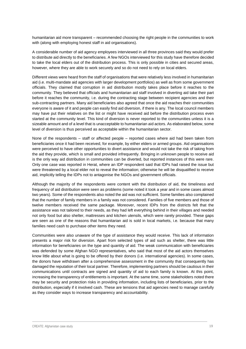humanitarian aid more transparent – recommended choosing the right people in the communities to work with (along with employing honest staff in aid organisations).

A considerable number of aid agency employees interviewed in all three provinces said they would prefer to distribute aid directly to the beneficiaries. A few NGOs interviewed for this study have therefore decided to take the local elders out of the distribution process. This is only possible in cities and secured areas, however, where they are able to work securely and so do not need to rely on local elders.

Different views were heard from the staff of organisations that were relatively less involved in humanitarian aid (i.e. multi-mandate aid agencies with larger development portfolios) as well as from some government officials. They claimed that corruption in aid distribution mostly takes place before it reaches to the community. They believed that officials and humanitarian aid staff involved in diverting aid take their part before it reaches the community, i.e. during the contracting stage between recipient agencies and their sub-contracting partners. Many aid beneficiaries also agreed that once the aid reaches their communities everyone is aware of it and people can easily find aid diversion, if there is any. The local council members may have put their relatives on the list or might have received aid before the distribution process even started at the community level. This kind of diversion is never reported to the communities unless it is a sizeable amount and of a level that is unacceptable to humanitarian aid actors. As elaborated below, some level of diversion is thus perceived as acceptable within the humanitarian sector.

None of the respondents – staff or affected people – reported cases where aid had been taken from beneficiaries once it had been received, for example, by either elders or armed groups. Aid organisations were perceived to have other opportunities to divert assistance and would not take the risk of taking from the aid they provide, which is small and provided infrequently. Bringing in unknown people to receive aid is the only way aid distribution in communities can be diverted, but reported instances of this were rare. Only one case was reported in Herat, where an IDP respondent said that IDPs had raised the issue but were threatened by a local elder not to reveal the information; otherwise he will be disqualified to receive aid, implicitly telling the IDPs not to antagonise the NGOs and government officials.

Although the majority of the respondents were content with the distribution of aid, the timeliness and frequency of aid distribution were seen as problems (some noted it took a year and in some cases almost two years). Some of the respondents also noted the aid was not sufficient. Some families also complained that the number of family members in a family was not considered. Families of five members and those of twelve members received the same package. Moreover, recent IDPs from the districts felt that the assistance was not tailored to their needs, as they had left everything behind in their villages and needed not only food but also shelter, mattresses and kitchen utensils, which were rarely provided. These gaps are seen as one of the reasons that humanitarian aid is sold in local markets, i.e. because that many families need cash to purchase other items they need.

Communities were also unaware of the type of assistance they would receive. This lack of information presents a major risk for diversion. Apart from selected types of aid such as shelter, there was little information for beneficiaries on the type and quantity of aid. The weak communication with beneficiaries was defended by some Afghan NGO representatives, who said that most of the aid actors themselves know little about what is going to be offered by their donors (i.e. international agencies). In some cases, the donors have withdrawn after a comprehensive assessment in the community that consequently has damaged the reputation of their local partner. Therefore, implementing partners should be cautious in their communications until contracts are signed and quantity of aid to each family is known. At this point, increasing the transparency of entitlements is important. At the same time, some stakeholders noted there may be security and protection risks in providing information, including lists of beneficiaries, prior to the distribution, especially if it involved cash. These are tensions that aid agencies need to manage carefully as they consider ways to increase transparency and accountability.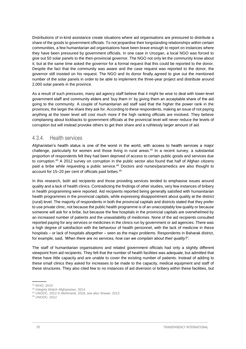Distributions of in-kind assistance create situations where aid organisations are pressured to distribute a share of the goods to government officials. To not jeopardise their longstanding relationships within certain communities, a few humanitarian aid organisations have been brave enough to report on instances where they have been pressured by government officials. In one case in Urozgan, a local NGO was forced to give out 50 solar panels to the then-provincial governor. The NGO not only let the community know about it, but at the same time asked the governor for a formal request that this could be reported to the donor. Despite the fact that the community was aware and the case request was reported to the donor, the governor still insisted on his request. The NGO and its donor finally agreed to give out the mentioned number of the solar panels in order to be able to implement the three-year project and distribute around 2,000 solar panels in the province.

As a result of such pressures, many aid agency staff believe that it might be wise to deal with lower-level government staff and community elders and 'buy them in' by giving them an acceptable share of the aid going to the community. A couple of humanitarian aid staff said that the higher the power rank in the provinces, the larger the share they ask for. According to these respondents, making an issue of not paying anything at the lower level will cost much more if the high ranking officials are involved. They believe complaining about kickbacks to government officials at the provincial level will never reduce the levels of corruption but will instead provoke others to get their share and a ruthlessly larger amount of aid.

### <span id="page-25-0"></span>4.3.4. Health services

Afghanistan's health status is one of the worst in the world, with access to health services a major challenge, particularly for women and those living in rural areas. <sup>42</sup> In a recent survey, a substantial proportion of respondents felt they had been deprived of access to certain public goods and services due to corruption. <sup>43</sup> A 2012 survey on corruption in the public sector also found that half of Afghan citizens paid a bribe while requesting a public service. <sup>44</sup> Doctors and nurses/paramedics are also thought to account for 15–20 per cent of officials paid bribes. 45

In this research, both aid recipients and those providing services tended to emphasise issues around quality and a lack of health clinics. Contradicting the findings of other studies, very few instances of bribery in health programming were reported. Aid recipients reported being generally satisfied with humanitarian health programmes in the provincial capitals, while expressing disappointment about quality at the district (rural) level. The majority of respondents in both the provincial capitals and districts stated that they prefer to use private clinic, not because the public health programme is of an unacceptably low quality or because someone will ask for a bribe, but because the few hospitals in the provincial capitals are overwhelmed by an increased number of patients and the unavailability of medicines. None of the aid recipients consulted reported paying for any services or medicines in the clinics run by government or aid agencies. There was a high degree of satisfaction with the behaviour of health personnel, with the lack of medicine in these hospitals – or lack of hospitals altogether – seen as the major problems. Respondents in Baharak district, for example, said, *'When there are no services, how can we complain about their quality?'*.

The staff of humanitarian organisations and related government officials had only a slightly different viewpoint from aid recipients. They felt that the number of health facilities was adequate, but admitted that these have little capacity and are unable to cover the existing number of patients. Instead of adding to these small clinics they asked for increases to be made to the capacity, medical equipment and staff of these structures. They also cited few to no instances of aid diversion or bribery within these facilities, but

<sup>42</sup> WHO, 2015

<sup>43</sup> Integrity Watch Afghanistan, 2014

<sup>44</sup> UNODC, 2012 in Mohmand, 2016; see also Shawe, 2013

<sup>45</sup> UNODC, 2012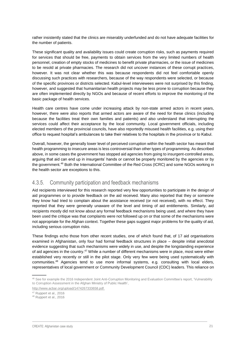rather insistently stated that the clinics are miserably underfunded and do not have adequate facilities for the number of patients.

These significant quality and availability issues could create corruption risks, such as payments required for services that should be free, payments to obtain services from the very limited numbers of health personnel, creation of empty stocks of medicines to benefit private pharmacies, or the issue of medicines to be resold at private pharmacies. The research did not uncover instances of these corrupt practices, however. It was not clear whether this was because respondents did not feel comfortable openly discussing such practices with researchers, because of the way respondents were selected, or because of the specific provinces or districts selected. Kabul-level interviewees were not surprised by this finding, however, and suggested that humanitarian health projects may be less prone to corruption because they are often implemented directly by NGOs and because of recent efforts to improve the monitoring of the basic package of health services.

Health care centres have come under increasing attack by non-state armed actors in recent years, however, there were also reports that armed actors are aware of the need for these clinics (including because the facilities treat their own families and patients) and also understand that interrupting the services could affect their acceptance by the local community. Local government officials, including elected members of the provincial councils, have also reportedly misused health facilities, e.g. using their office to request hospital's ambulances to take their relatives to the hospitals in the province or to Kabul.

Overall, however, the generally lower level of perceived corruption within the health sector has meant that health programming to insecure areas is less controversial than other types of programming. As described above, in some cases the government has stopped aid agencies from going to insurgent-controlled areas, arguing that aid can end up in insurgents' hands or cannot be properly monitored by the agencies or by the government.<sup>46</sup> Both the International Committee of the Red Cross (ICRC) and some NGOs working in the health sector are exceptions to this.

### <span id="page-26-0"></span>4.3.5. Community participation and feedback mechanisms

Aid recipients interviewed for this research reported very few opportunities to participate in the design of aid programmes or to provide feedback on the aid received. Many also reported that they or someone they know had tried to complain about the assistance received (or not received), with no effect. They reported that they were generally unaware of the level and timing of aid entitlements. Similarly, aid recipients mostly did not know about any formal feedback mechanisms being used, and where they have been used the critique was that complaints were not followed up on or that some of the mechanisms were not appropriate for the Afghan context. Together these gaps suggest major problems for the quality of aid, including serious corruption risks.

These findings echo those from other recent studies, one of which found that, of 17 aid organisations examined in Afghanistan, only four had formal feedback structures in place – despite initial anecdotal evidence suggesting that such mechanisms were widely in use, and despite the longstanding experience of aid agencies in the country.<sup>47</sup> While a number of different mechanisms were in place, most were either established very recently or still in the pilot stage. Only very few were being used systematically with communities. <sup>48</sup> Agencies tend to use more informal systems, e.g. consulting with local elders, representatives of local government or Community Development Council (CDC) leaders. This reliance on

<sup>46</sup> See for example the 2016 Independent Joint Anti-Corruption Monitoring and Evaluation Committee's report, 'Vulnerability to Corruption Assessment in the Afghan Ministry of Public Health',

[http://www.acbar.org/upload/1474267333658.pdf.](http://www.acbar.org/upload/1474267333658.pdf)

<sup>47</sup> Ruppert et al., 2016

<sup>48</sup> Ruppert et al., 2016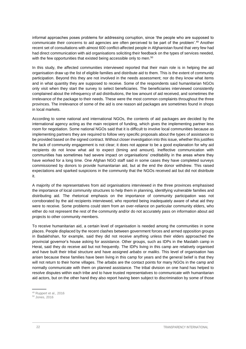informal approaches poses problems for addressing corruption, since 'the people who are supposed to communicate their concerns to aid agencies are often perceived to be part of the problem'. <sup>49</sup> Another recent set of consultations with almost 600 conflict-affected people in Afghanistan found that very few had had direct communication with aid organisations soliciting their feedback on the types of services needed, with the few opportunities that existed being accessible only to men. 50

In this study, the affected communities interviewed reported that their main role is in helping the aid organisation draw up the list of eligible families and distribute aid to them. This is the extent of community participation. Beyond this they are not involved in the needs assessment; nor do they know what items and in what quantity they are supposed to receive. Some of the respondents said humanitarian NGOs only visit when they start the survey to select beneficiaries. The beneficiaries interviewed consistently complained about the infrequency of aid distributions, the low amount of aid received, and sometimes the irrelevance of the package to their needs. These were the most common complaints throughout the three provinces. The irrelevance of some of the aid is one reason aid packages are sometimes found in shops in local markets.

According to some national and international NGOs, the contents of aid packages are decided by the international agency acting as the main recipient of funding, which gives the implementing partner less room for negotiation. Some national NGOs said that it is difficult to involve local communities because as implementing partners they are required to follow very specific proposals about the types of assistance to be provided based on the signed contract. Without closer investigation into this issue, whether this justifies the lack of community engagement is not clear; it does not appear to be a good explanation for why aid recipients do not know what aid to expect (timing and amount). Ineffective communication with communities has sometimes had severe impact on organisations' creditability in the areas where they have worked for a long time. One Afghan NGO staff said in some cases they have completed surveys commissioned by donors to provide humanitarian aid, but at the end the donor withdrew. This raised expectations and sparked suspicions in the community that the NGOs received aid but did not distribute it.

A majority of the representatives from aid organisations interviewed in the three provinces emphasised the importance of local community structures to help them in planning, identifying vulnerable families and distributing aid. The rhetorical emphasis on the importance of community participation was not corroborated by the aid recipients interviewed, who reported being inadequately aware of what aid they were to receive. Some problems could stem from an over-reliance on particular community elders, who either do not represent the rest of the community and/or do not accurately pass on information about aid projects to other community members.

To receive humanitarian aid, a certain level of organisation is needed among the communities in some places. People displaced by the recent clashes between government forces and armed opposition groups in Badakhshan, for example, said they did not receive anything unless their elders approached the provincial governor's house asking for assistance. Other groups, such as IDPs in the Maslakh camp in Herat, said they do receive aid but not frequently. The IDPs living in this camp are relatively organised and have built their tribal structure and have assigned *arbabs* or *maliks*. This level of organisation has arisen because these families have been living in this camp for years and the general belief is that they will not return to their home villages. The arbabs are the contact points for many NGOs in the camp and normally communicate with them on planned assistance. The tribal division on one hand has helped to resolve disputes within each tribe and to have trusted representatives to communicate with humanitarian aid actors, but on the other hand they also report having been subject to discrimination by some of those

<sup>49</sup> Ruppert et al., 2016

<sup>50</sup> Jones, 2016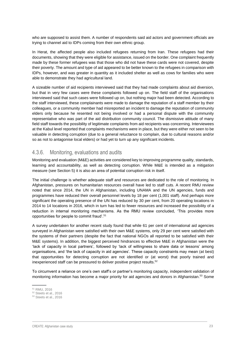who are supposed to assist them. A number of respondents said aid actors and government officials are trying to channel aid to IDPs coming from their own ethnic group.

In Herat, the affected people also included refugees returning from Iran. These refugees had their documents, showing that they were eligible for assistance, issued on the border. One complaint frequently made by these former refugees was that those who did not have these cards were not covered, despite their poverty. The amount and type of aid appeared to be better known to the refugees in comparison with IDPs, however, and was greater in quantity as it included shelter as well as cows for families who were able to demonstrate they had agricultural land.

A sizeable number of aid recipients interviewed said that they had made complaints about aid diversion, but that in very few cases were these complaints followed up on. The field staff of the organisations interviewed said that such cases were followed up on, but nothing major had been detected. According to the staff interviewed, these complainants were made to damage the reputation of a staff member by their colleagues, or a community member had misreported an incident to damage the reputation of community elders only because he resented not being involved or had a personal dispute with the community representative who was part of the aid distribution community council. The dismissive attitude of many field staff towards the possibility of legitimate complaints from aid recipients was concerning. Interviewees at the Kabul level reported that complaints mechanisms were in place, but they were either not seen to be valuable in detecting corruption (due to a general reluctance to complain, due to cultural reasons and/or so as not to antagonise local elders) or had yet to turn up any significant incidents.

### <span id="page-28-0"></span>4.3.6. Monitoring, evaluations and audits

Monitoring and evaluation (M&E) activities are considered key to improving programme quality, standards, learning and accountability, as well as detecting corruption. While M&E is intended as a mitigation measure (see Section 5) it is also an area of potential corruption risk in itself.

The initial challenge is whether adequate staff and resources are dedicated to the role of monitoring. In Afghanistan, pressures on humanitarian resources overall have led to staff cuts. A recent RMU review noted that since 2014, the UN in Afghanistan, including UNAMA and the UN agencies, funds and programmes have reduced their overall personnel levels by 18 per cent (1,001 staff). And perhaps more significant the operating presence of the UN has reduced by 30 per cent, from 20 operating locations in 2014 to 14 locations in 2016, which in turn has led to fewer resources and increased the possibility of a reduction in internal monitoring mechanisms. As the RMU review concluded, 'This provides more opportunities for people to commit fraud'. 51

A survey undertaken for another recent study found that while 61 per cent of international aid agencies surveyed in Afghanistan were satisfied with their own M&E systems, only 29 per cent were satisfied with the systems of their partners (despite the fact that national NGOs all reported to be satisfied with their M&E systems). In addition, the biggest perceived hindrances to effective M&E in Afghanistan were the 'lack of capacity in local partners', followed by 'lack of willingness to share data or lessons' among organisations, and 'the lack of capacity in aid agencies'. These capacity constraints may mean (at best) that opportunities for detecting corruption are not identified or (at worst) that poorly trained and inexperienced staff can be pressured to deliver positive project results. 52

To circumvent a reliance on one's own staff's or partner's monitoring capacity, independent validation of monitoring information has become a major priority for aid agencies and donors in Afghanistan.<sup>53</sup> Some

<sup>51</sup> RMU, 2016

<sup>52</sup> Steets et al., 2016

<sup>53</sup> Steets et al., 2016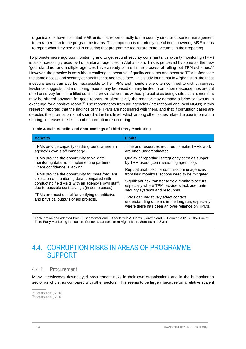organisations have instituted M&E units that report directly to the country director or senior management team rather than to the programme teams. This approach is reportedly useful in empowering M&E teams to report what they see and in ensuring that programme teams are more accurate in their reporting.

To promote more rigorous monitoring and to get around security constraints, third-party monitoring (TPM) is also increasingly used by humanitarian agencies in Afghanistan. This is perceived by some as the new 'gold standard' and multiple agencies have already or are in the process of rolling out TPM schemes. 54 However, the practice is not without challenges, because of quality concerns and because TPMs often face the same access and security constraints that agencies face. This study found that in Afghanistan, the most insecure areas can also be inaccessible to the TPMs and monitors are often confined to district centres. Evidence suggests that monitoring reports may be based on very limited information (because trips are cut short or survey forms are filled out in the provincial centres without project sites being visited at all), monitors may be offered payment for good reports, or alternatively the monitor may demand a bribe or favours in exchange for a positive report.<sup>55</sup> The respondents from aid agencies (international and local NGOs) in this research reported that the findings of the TPMs are not shared with them, and that if corruption cases are detected the information is not shared at the field level, which among other issues related to poor information sharing, increases the likelihood of corruption re-occurring.

| <b>Benefits</b>                                                                                                                                                                                                                                                                                                                    | <b>Limits</b>                                                                                                                                                                                                                                                                                                                                                                               |  |  |  |
|------------------------------------------------------------------------------------------------------------------------------------------------------------------------------------------------------------------------------------------------------------------------------------------------------------------------------------|---------------------------------------------------------------------------------------------------------------------------------------------------------------------------------------------------------------------------------------------------------------------------------------------------------------------------------------------------------------------------------------------|--|--|--|
| TPMs provide capacity on the ground where an<br>agency's own staff cannot go.                                                                                                                                                                                                                                                      | Time and resources required to make TPMs work<br>are often underestimated.                                                                                                                                                                                                                                                                                                                  |  |  |  |
| TPMs provide the opportunity to validate<br>monitoring data from implementing partners                                                                                                                                                                                                                                             | Quality of reporting is frequently seen as subpar<br>by TPM users (commissioning agencies).                                                                                                                                                                                                                                                                                                 |  |  |  |
| where confidence is lacking.<br>TPMs provide the opportunity for more frequent<br>collection of monitoring data, compared with<br>conducting field visits with an agency's own staff,<br>due to possible cost savings (in some cases).<br>TPMs are most useful for verifying quantitative<br>and physical outputs of aid projects. | Reputational risks for commissioning agencies<br>from field monitors' actions need to be mitigated.<br>Significant risk transfer to field monitors occurs,<br>especially where TPM providers lack adequate<br>security systems and resources.<br>TPMs can negatively affect context<br>understanding of users in the long run, especially<br>where there has been an over-reliance on TPMs. |  |  |  |
|                                                                                                                                                                                                                                                                                                                                    |                                                                                                                                                                                                                                                                                                                                                                                             |  |  |  |
| Table drawn and adapted from E. Sagmeister and J. Steets with A. Derzsi-Horvath and C. Hennion (2016). 'The Use of                                                                                                                                                                                                                 |                                                                                                                                                                                                                                                                                                                                                                                             |  |  |  |

#### **Table 3. Main Benefits and Shortcomings of Third-Party Monitoring**

Table drawn and adapted from E. Sagmeister and J. Steets with A. Derzsi-Horvath and C. Hennion (2016). 'The Use of Third Party Monitoring in Insecure Contexts: Lessons from Afghanistan, Somalia and Syria'.

### <span id="page-29-0"></span>4.4. CORRUPTION RISKS IN AREAS OF PROGRAMME SUPPORT

### <span id="page-29-1"></span>4.4.1. Procurement

Many interviewees downplayed procurement risks in their own organisations and in the humanitarian sector as whole, as compared with other sectors. This seems to be largely because on a relative scale it

<sup>54</sup> Steets et al., 2016

<sup>55</sup> Steets et al., 2016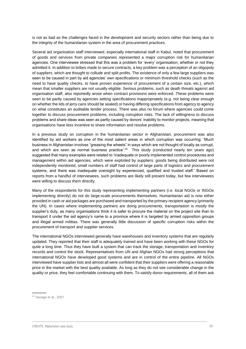is not as bad as the challenges faced in the development and security sectors rather than being due to the integrity of the humanitarian system in the area of procurement practices.

Several aid organisation staff interviewed, especially international staff in Kabul, noted that procurement of goods and services from private companies represented a major corruption risk for humanitarian agencies. One interviewee stressed that this was a problem for 'every' organisation, whether or not they admitted it. In addition to bribes made to secure contracts, a key problem was a perception of an oligopoly of suppliers, which are thought to collude and split profits. The existence of only a few large suppliers was seen to be caused in part by aid agencies' own specifications or minimum threshold checks (such as the need to have quality checks, to have proven experience of procurement of a certain size, etc.), which mean that smaller suppliers are not usually eligible. Serious problems, such as death threats against aid organisation staff, also reportedly arose when contract provisions were enforced. These problems were seen to be partly caused by agencies setting specifications inappropriately (e.g. not being clear enough on whether the lids of jerry cans should be sealed) or having differing specifications from agency to agency on what constitutes an auditable tender process. There was also no forum where agencies could come together to discuss procurement problems, including corruption risks. The lack of willingness to discuss problems and share ideas was seen as partly caused by donors' inability to monitor projects, meaning that organisations have less incentive to share information and resolve problems.

In a previous study on corruption in the humanitarian sector in Afghanistan, procurement was also identified by aid workers as one of the most salient areas in which corruption was occurring: 'Much business in Afghanistan involves "greasing the wheels" in ways which are not thought of locally as corrupt, and which are seen as normal business practice'. <sup>56</sup> This study (conducted nearly ten years ago) suggested that many examples were related to 'inadequate or poorly implemented control procedures and management within aid agencies, which were exploited by suppliers: goods being distributed were not independently monitored, small numbers of staff had control of large parts of logistics and procurement systems, and there was inadequate oversight by experienced, qualified and trusted staff.' Based on reports from a handful of interviewees, such problems are likely still present today, but few interviewees were willing to discuss them directly.

Many of the respondents for this study representing implementing partners (i.e. local NGOs or INGOs implementing directly) do not do large-scale procurements themselves. Humanitarian aid is now either provided in cash or aid packages are purchased and transported by the primary recipient agency (primarily the UN). In cases where implementing partners are doing procurements, transportation is mostly the supplier's duty, as many organisations think it is safer to procure the material on the project site than to transport it under the aid agency's name to a province where it is targeted by armed opposition groups and illegal armed militias. There was generally little discussion of specific corruption risks within the procurement of transport and supplier services.

The international NGOs interviewed generally have warehouses and inventory systems that are regularly updated. They reported that their staff is adequately trained and have been working with these NGOs for quite a long time. Thus they have built a system that can track the storage, transportation and inventory records and control the stock. Representatives from UN and Afghan NGOs had strong perceptions that international NGOs have developed good systems and are in control of the entire pipeline. All NGOs interviewed have supplier lists and almost all were confident that their suppliers were offering a reasonable price in the market with the best quality available. As long as they do not see considerable change in the quality or price, they feel comfortable continuing with them. To satisfy donor requirements, all of them ask

<sup>56</sup> Savage et al., 2007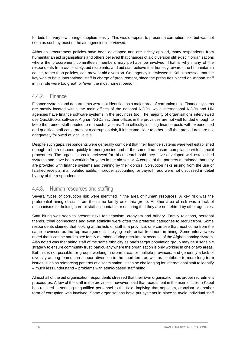for bids but very few change suppliers easily. This would appear to present a corruption risk, but was not seen as such by most of the aid agencies interviewed.

Although procurement policies have been developed and are strictly applied, many respondents from humanitarian aid organisations and others believed that chances of aid diversion still exist in organisations where the procurement committee's members may perhaps be involved. That is why many of the respondents from civil society, aid recipients, and aid staff believe that honesty towards the humanitarian cause, rather than policies, can prevent aid diversion. One agency interviewee in Kabul stressed that the key was to have international staff in charge of procurement, since the pressures placed on Afghan staff in this role were too great for 'even the most honest person'.

### <span id="page-31-0"></span>4.4.2. Finance

Finance systems and departments were not identified as a major area of corruption risk. Finance systems are mostly located within the main offices of the national NGOs, while international NGOs and UN agencies have finance software systems in the provinces too. The majority of organisations interviewed use QuickBooks software. Afghan NGOs say their offices in the provinces are not well funded enough to keep the trained staff needed to run such systems. The difficulty in filling finance posts with experienced and qualified staff could present a corruption risk, if it became clear to other staff that procedures are not adequately followed at local levels.

Despite such gaps, respondents were generally confident that their finance systems were well established enough to both respond quickly to emergencies and at the same time ensure compliance with financial procedures. The organisations interviewed for this research said they have developed well-established systems and have been working for years in the aid sector. A couple of the partners mentioned that they are provided with finance systems and training by their donors. Corruption risks arising from the use of falsified receipts, manipulated audits, improper accounting, or payroll fraud were not discussed in detail by any of the respondents.

### <span id="page-31-1"></span>4.4.3. Human resources and staffing

Several types of corruption risk were identified in the area of human resources. A key risk was the preferential hiring of staff from the same family or ethnic group. Another area of risk was a lack of mechanisms for holding corrupt staff accountable or ensuring that they are not rehired by other agencies.

Staff hiring was seen to present risks for nepotism, cronyism and bribery. Family relations, personal friends, tribal connections and even ethnicity were often the preferred categories to recruit from. Some respondents claimed that looking at the lists of staff in a province, one can see that most come from the same provinces as the top management, implying preferential treatment in hiring. Some interviewees noted that it can be hard to see family members during recruitment because of the Afghan naming system. Also noted was that hiring staff of the same ethnicity as one's target population group may be a sensible strategy to ensure community trust, particularly where the organisation is only working in one or two areas. But this is not possible for groups working in urban areas or multiple provinces, and generally a lack of diversity among teams can support diversion in the short-term as well as contribute to more long-term issues, such as reinforcing patterns of discrimination. It can be challenging for international staff to identify – much less understand – problems with ethnic-based staff hiring.

Almost all of the aid organisation respondents stressed that their own organisation has proper recruitment procedures. A few of the staff in the provinces, however, said that recruitment in the main offices in Kabul has resulted in sending unqualified personnel to the field, implying that nepotism, cronyism or another form of corruption was involved. Some organisations have put systems in place to avoid individual staff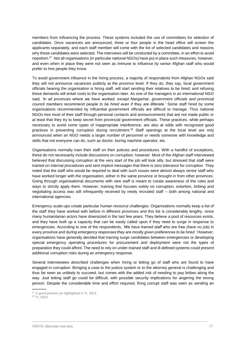members from influencing the process. These systems included the use of committees for selection of candidates. Once vacancies are announced, three or four people in the head office will screen the applicants separately, and each staff member will come with the list of selected candidates and reasons why these candidates were selected. The interviews will be conducted by a committee, in an effort to avoid nepotism. <sup>57</sup> Not all organisations (in particular national NGOs) have put in place such measures, however, and even when in place they were not seen as immune to influence by senior Afghan staff who would prefer to hire people they know.

To avoid government influence in the hiring process, a majority of respondents from Afghan NGOs said they will not announce vacancies publicly at the province level. If they do, they say, local government officials hearing the organisation is hiring staff, will start sending their relatives to be hired, and refusing these demands will entail costs to the organisation later. As one of the managers in an international NGO said*, 'In all provinces where we have worked, except Nangarhar, government officials and provincial council members recommend people to be hired even if they are illiterate.'* Some staff hired by some organisations recommended by influential government officials are difficult to manage. Thus national NGOs hire most of their staff through personal contacts and announcements that are not made public or at least that they try to keep secret from provincial government officials. These practices, while perhaps necessary to avoid some types of inappropriate interference, are also at odds with recognised good practices in preventing corruption during recruitment.<sup>58</sup> Staff openings at the local level are only announced when an NGO needs a larger number of personnel or needs someone with knowledge and skills that not everyone can do, such as doctor, boring machine operator, etc.

Organisations normally train their staff on their policies and procedures. With a handful of exceptions, these do not necessarily include discussions on corruption, however. Most of the Afghan staff interviewed believed that discussing corruption at the very start of the job will look silly, but stressed that staff were trained on internal procedures and sent implicit messages that there is zero tolerance for corruption. They noted that the staff who would be required to deal with such issues were almost always senior staff who have worked longer with the organisation, either in the same province or brought in from other provinces. Going through organisational documents with new staff is meant to create awareness of the rules and ways to strictly apply them. However, training that focuses solely on corruption, extortion, bribing and negotiating access was still infrequently received by newly recruited staff – both among national and international agencies.

Emergency scale-ups create particular human resource challenges. Organisations normally keep a list of the staff they have worked with before in different provinces and this list is considerably lengthy, since many humanitarian actors have downsized in the last few years. They believe a pool of resources exists, and they have built up a capacity that can be easily called upon if they need to surge in response to emergencies. According to one of the respondents, *'We have trained staff who are free (have no job) in every province and during emergency responses they are mostly given preferences to be hired.'* However, organisations have generally decided that training surge candidates between emergencies or developing special emergency operating procedures for procurement and deployment were not the types of preparation they could afford. The need to rely on under-trained staff and ill-defined systems could present additional corruption risks during an emergency response.

Several interviewees described challenges when hiring or letting go of staff who are found to have engaged in corruption. Bringing a case to the justice system or to the attorney general is challenging and thus far seen as unlikely to succeed, but comes with the added risk of needing to pay bribes along the way. Just letting staff go could be difficult, with possible security implications for angering the wrong person. Despite the considerable time and effort required, firing corrupt staff was seen as sending an

<sup>57</sup> A good practice as highlighted in TI, 2014.

<sup>58</sup> TI, 2014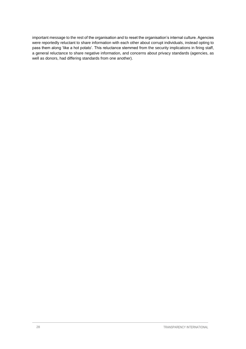important message to the rest of the organisation and to reset the organisation's internal culture. Agencies were reportedly reluctant to share information with each other about corrupt individuals, instead opting to pass them along 'like a hot potato'. This reluctance stemmed from the security implications in firing staff, a general reluctance to share negative information, and concerns about privacy standards (agencies, as well as donors, had differing standards from one another).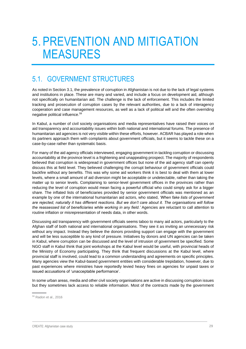## <span id="page-34-0"></span>5. PREVENTION AND MITIGATION MEASURES

## <span id="page-34-1"></span>5.1. GOVERNMENT STRUCTURES

As noted in Section 3.1, the prevalence of corruption in Afghanistan is not due to the lack of legal systems and institutions in place. These are many and varied, and include a focus on development aid, although not specifically on humanitarian aid. The challenge is the lack of enforcement. This includes the limited tracking and prosecution of corruption cases by the relevant authorities, due to a lack of interagency cooperation and case management resources, as well as a lack of political will and the often overriding negative political influence. 59

In Kabul, a number of civil society organisations and media representatives have raised their voices on aid transparency and accountability issues within both national and international forums. The presence of humanitarian aid agencies is not very visible within these efforts, however. ACBAR has played a role when its partners approach them with complaints about government officials, but it seems to tackle these on a case-by-case rather than systematic basis.

For many of the aid agency officials interviewed, engaging government in tackling corruption or discussing accountability at the province level is a frightening and unappealing prospect. The majority of respondents believed that corruption is widespread in government offices but none of the aid agency staff can openly discuss this at field level. They believed challenging the corrupt behaviour of government officials could backfire without any benefits. This was why some aid workers think it is best to deal with them at lower levels, where a small amount of aid diversion might be acceptable or undetectable, rather than taking the matter up to senior levels. Complaining to senior-level government offices in the provinces rather than reducing the level of corruption would mean facing a powerful official who could simply ask for a bigger share. The inflated lists of beneficiaries provided by senior government officials was mentioned as an example by one of the international humanitarian aid actors, who stated, *'When fake lists of government are rejected, naturally it has different reactions. But we don't care about it. The organisations will follow the reassessed list of beneficiaries while working in any field.'* Agencies are reluctant to call attention to routine inflation or misrepresentation of needs data, in other words.

Discussing aid transparency with government officials seems taboo to many aid actors, particularly to the Afghan staff of both national and international organisations. They see it as inviting an unnecessary risk without any impact. Instead they believe the donors providing support can engage with the government and will be less susceptible to any kind of pressure. Initiatives by donors and UN agencies can be taken in Kabul, where corruption can be discussed and the level of intrusion of government be specified. Some NGO staff in Kabul think that joint workshops at the Kabul level would be useful, with provincial heads of the Ministry of Economy participating. They think that frequent discussions at the Kabul level, where provincial staff is involved, could lead to a common understanding and agreements on specific principles. Many agencies view the Kabul-based government entities with considerable trepidation, however, due to past experiences where ministries have reportedly levied heavy fines on agencies for unpaid taxes or issued accusations of 'unacceptable performance'.

In some urban areas, media and other civil society organisations are active in discussing corruption issues but they sometimes lack access to reliable information. Most of the contracts made by the government

<sup>59</sup> Radon et al., 2016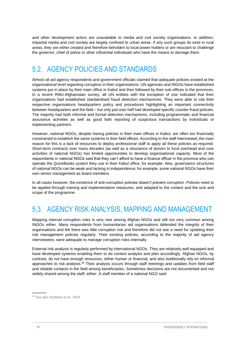and other development actors are unavailable to media and civil society organisations. In addition, impartial media and civil society are largely confined to urban areas. If any such groups do exist in rural areas, they are either created and therefore beholden to local power holders or are reluctant to challenge the governor, chief of police or other influential individuals who have the means to damage them.

## <span id="page-35-0"></span>5.2. AGENCY POLICIES AND STANDARDS

Almost all aid agency respondents and government officials claimed that adequate policies existed at the organisational level regarding corruption in their organisations. UN agencies and INGOs have established systems put in place by their main office in Kabul and then followed by their sub-offices in the provinces. In a recent RMU-Afghanistan survey, all UN entities with the exception of one indicated that their organisations had established standardised fraud detection mechanisms. They were able to cite their respective organisations headquarters policy and procedures highlighting an important connectivity between headquarters and the field – but only just over half had developed specific counter-fraud policies. The majority had both informal and formal detection mechanisms, including programmatic and financial assurance activities as well as good faith reporting of suspicious transactions by individuals or implementing partners.

However, national NGOs, despite having policies in their main offices in Kabul, are often too financially constrained to establish the same systems in their field offices. According to the staff interviewed, the main reason for this is a lack of resources to deploy professional staff to apply all these policies as required. Short-term contracts over many decades (as well as a reluctance of donors to fund overhead and core activities of national NGOs) has limited opportunities to develop organisational capacity. Most of the respondents in national NGOs said that they can't afford to have a finance officer in the province who can operate the QuickBooks system they use in their Kabul office, for example. Also, governance structures of national NGOs can be weak and lacking in independence; for example, some national NGOs have their own senior management as board members.

In all cases however, the existence of anti-corruption policies doesn't prevent corruption. Policies need to be applied through training and implementation measures, and adapted to the context and the size and scope of the programme.

## <span id="page-35-1"></span>5.3. AGENCY RISK ANALYSIS, MAPPING AND MANAGEMENT

Mapping internal corruption risks is very rare among Afghan NGOs and still not very common among INGOs either. Many respondents from humanitarian aid organisations defended the integrity of their organisations and felt there was little corruption risk and therefore did not see a need for updating their risk management policies regularly. Their existing policies, according to the majority of aid agency interviewees, were adequate to manage corruption risks internally.

External risk analysis is regularly performed by international NGOs. They are relatively well equipped and have developed systems enabling them to do context analysis and plan accordingly. Afghan NGOs, by contrast, do not have enough resources, either human or financial, and also traditionally rely on informal approaches to risk analysis.<sup>60</sup> Their analysis occurs through staff meetings and updates from field staff and reliable contacts in the field among beneficiaries. Sometimes decisions are not documented and not widely shared among the staff, either. A staff member of a national NGO said:

<sup>60</sup> See also Stoddard et al., 2016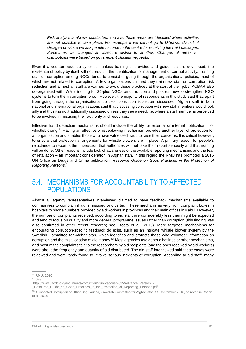*Risk analysis is always conducted, and also those areas are identified where activities are not possible to take place. For example if we cannot go to Dihrawot district of Urozgan province we ask people to come to the centre for receiving their aid packages. Sometimes we changed an insecure district to another. Changes of areas for distributions were based on government officials' requests.*

Even if a counter-fraud policy exists, unless training is provided and guidelines are developed, the existence of policy by itself will not result in the identification or management of corrupt activity. Training staff on corruption among NGOs tends to consist of going through the organisational policies, most of which are not related to corruption. A few organisations claimed they train new staff on corruption risk reduction and almost all staff are warned to avoid these practices at the start of their jobs. ACBAR also co-organised with IWA a training for 20-plus NGOs on corruption and policies: how to strengthen NGO systems to turn them corruption proof. However, the majority of respondents in this study said that, apart from going through the organisational policies, corruption is seldom discussed. Afghan staff in both national and international organisations said that discussing corruption with new staff members would look silly and thus it is not traditionally discussed unless they see a need, i.e. where a staff member is perceived to be involved in misusing their authority and resources.

Effective fraud detection mechanisms should include the ability for external or internal notification – or whistleblowing.<sup>61</sup> Having an effective whistleblowing mechanism provides another layer of protection for an organisation and enables those who have witnessed fraud to raise their concerns. It is critical however, to ensure that protection arrangements for whistle blowers are in place. A primary reason for people's reluctance to report is the impression that authorities will not take their report seriously and that nothing will be done. Other reasons include lack of awareness of the available reporting mechanisms and the fear of retaliation – an important consideration in Afghanistan. In this regard the RMU has promoted a 2015 UN Office on Drugs and Crime publication, *Resource Guide on Good Practices in the Protection of Reporting Persons*. 62

### <span id="page-36-0"></span>5.4. MECHANISMS FOR ACCOUNTABILITY TO AFFECTED POPULATIONS

Almost all agency representatives interviewed claimed to have feedback mechanisms available to communities to complain if aid is misused or diverted. These mechanisms vary from complaint boxes in hospitals to phone numbers provided by aid workers in provinces and their main offices in Kabul. However, the number of complaints received, according to aid staff, are considerably less than might be expected and tend to focus on quality and more general programme issues rather than corruption (this finding was also confirmed in other recent research; see Steets et al., 2016). More targeted mechanisms for encouraging corruption-specific feedback do exist, such as an intricate whistle blower system by the Swedish Committee for Afghanistan, which identifies and protects those who volunteer information on corruption and the misallocation of aid money.<sup>63</sup> Most agencies use generic hotlines or other mechanisms, and most of the complaints told to the researchers by aid recipients (and the ones received by aid workers) were about the frequency and quantity of aid distributed. The aid staff interviewed said these cases were reviewed and were rarely found to involve serious incidents of corruption. According to aid staff, many

<sup>61</sup> RMU, 2016

<sup>62</sup> See

[http://www.unodc.org/documents/corruption/Publications/2015/Advance\\_Version\\_-](http://www.unodc.org/documents/corruption/Publications/2015/Advance_Version_-_Resource_Guide_on_Good_Practices_in_the_Protection_of_Reporting_Persons.pdf)

[\\_Resource\\_Guide\\_on\\_Good\\_Practices\\_in\\_the\\_Protection\\_of\\_Reporting\\_Persons.pdf](http://www.unodc.org/documents/corruption/Publications/2015/Advance_Version_-_Resource_Guide_on_Good_Practices_in_the_Protection_of_Reporting_Persons.pdf)

<sup>63 &#</sup>x27;Suspected Corruption or Other Regularities,' Swedish Committee for Afghanistan, 22 September 2015, as noted in Radon et al. 2016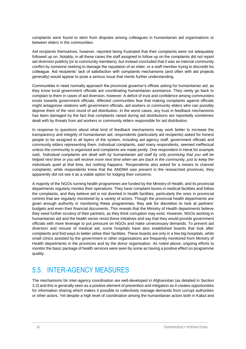complaints were found to stem from disputes among colleagues in humanitarian aid organisations or between elders in the communities.

Aid recipients themselves, however, reported being frustrated that their complaints were not adequately followed up on. Notably, in all these cases the staff assigned to follow up on the complaints did not report aid diversion publicly (or to community members), but instead concluded that it was an internal community conflict by someone seeking to damage the reputation of an elder, or a staff member trying to discredit his colleague. Aid recipients' lack of satisfaction with complaints mechanisms (and often with aid projects generally) would appear to pose a serious issue that merits further understanding.

Communities in need normally approach the provincial governor's offices asking for humanitarian aid, as they know local government officials are coordinating humanitarian assistance. They rarely go back to complain to them in cases of aid diversion, however. A deficit of trust and confidence among communities exists towards government officials. Affected communities fear that making complaints against officials might antagonise relations with government officials, aid workers or community elders who can possibly deprive them of the next round of aid distribution. In the worst cases, any trust in feedback mechanisms has been damaged by the fact that complaints raised during aid distributions are reportedly sometimes dealt with by threats from aid workers or community elders responsible for aid distribution.

In response to questions about what kind of feedback mechanisms may work better to increase the transparency and integrity of humanitarian aid, respondents (particularly aid recipients) asked for honest people to be assigned to all layers of the system, including aid agency staff, government officials and community elders representing them. Individual complaints, said many respondents, seemed ineffectual unless the community is organised and complaints are made jointly. One respondent in Herat for example said, *'Individual complaints are dealt with by humanitarian aid staff by only promising that you will be helped next time or you will receive more next time when we are back in the community, just to keep the individuals quiet at that time, but nothing happens.'* Respondents also asked for a means to channel complaints; while respondents knew that the ANDMA was present in the researched provinces, they apparently did not see it as a viable option for lodging their concerns.

A majority of the NGOs running health programmes are funded by the Ministry of Health, and its provincial departments regularly monitor their operations. They have complaint boxes in medical facilities and follow the complaints, and they believe aid is not diverted in health facilities, particularly the ones in provincial centres that are regularly monitored by a variety of actors. Though the provincial health departments are given enough authority in monitoring these programmes, they ask for discretion to look at partners' budgets and even their financial documents. This reveals that the Ministry of Health departments believe they need further scrutiny of their partners, as they think corruption may exist. However, NGOs working in humanitarian aid and the health sector resist these initiatives and say that they would provide government officials with more leverage to put pressure on NGOs and make unnecessary demands. To prevent aid diversion and misuse of medical aid, some hospitals have also established boards that look after complaints and find ways to better utilise their facilities. These boards are only in a few big hospitals, while small clinics assisted by the government or other organisations are frequently monitored from Ministry of Health departments in the provinces and by the donor organisation. As noted above, ongoing efforts to monitor the basic package of health services were seen by some as having a positive effect on programme quality.

## <span id="page-37-0"></span>5.5. INTER-AGENCY MEASURES

The mechanisms for inter-agency coordination are well-developed in Afghanistan (as detailed in Section 3.2) and this is generally seen as a positive element of prevention and mitigation as it creates opportunities for information sharing which makes it possible to collectively manage demands from corrupt authorities or other actors. Yet despite a high level of coordination among the humanitarian actors both in Kabul and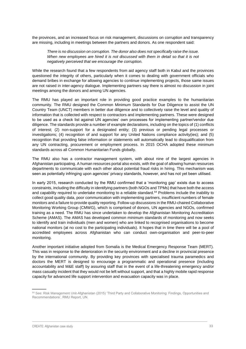the provinces, and an increased focus on risk management, discussions on corruption and transparency are missing, including in meetings between the partners and donors. As one respondent said:

*There is no discussion on corruption. The donor also does not specifically raise the issue. When new employees are hired it is not discussed with them in detail so that it is not negatively perceived that we encourage the corruption.*

While the research found that a few respondents from aid agency staff both in Kabul and the provinces questioned the integrity of others, particularly when it comes to dealing with government officials who demand bribes in exchange for allowing agencies to continue implementing projects, those same issues are not raised in inter-agency dialogue. Implementing partners say there is almost no discussion in joint meetings among the donors and among UN agencies.

The RMU has played an important role in providing good practice examples to the humanitarian community. The RMU designed the Common Minimum Standards for Due Diligence to assist the UN Country Team (UNCT) members in better due diligence and to collectively raise the level and quality of information that is collected with respect to contractors and implementing partners. These were designed to be used as a check list against UN agencies' own processes for implementing partner/vendor due diligence. The standards provide a number of example declarations, including on the topics of (1) conflicts of interest; (2) non-support for a designated entity; (3) previous or pending legal processes or investigations; (4) recognition of and support for any United Nations compliance activity(ies); and (5) recognition that providing false information or statements will automatically lead to disqualification from any UN contracting, procurement or employment process. In 2015 OCHA adopted these minimum standards across all Common Humanitarian Funds globally.

The RMU also has a contractor management system, with about nine of the largest agencies in Afghanistan participating. A human resources portal also exists, with the goal of allowing human resources departments to communicate with each other about potential fraud risks in hiring. This mechanism was seen as potentially infringing upon agencies' privacy standards, however, and has not yet been utilised.

In early 2015, research conducted by the RMU confirmed that a 'monitoring gap' exists due to access constraints, including the difficulty in identifying partners (both NGOs and TPMs) that have both the access and capability required to undertake monitoring to a reliable standard.<sup>64</sup> Problems include the inability to collect good quality data, poor communication with implementing partners, insufficient numbers of female monitors and a failure to provide quality reporting. Follow-up discussions in the RMU-chaired Collaborative Monitoring Working Group (CMWG), which is comprised of donors, UN agencies and NGOs, confirmed training as a need. The RMU has since undertaken to develop the Afghanistan Monitoring Accreditation Scheme (AMAS). The AMAS has developed common minimum standards of monitoring and now seeks to identify and train individuals (men and women) who are linked to recognised organisations to become national monitors (at no cost to the participating individuals). It hopes that in time there will be a pool of accredited employees across Afghanistan who can conduct own-organisation and peer-to-peer monitoring.

Another important initiative adopted from Somalia is the Medical Emergency Response Team (MERT). This was in response to the deterioration in the security environment and a decline in provincial presence by the international community. By providing key provinces with specialised trauma paramedics and doctors the MERT is designed to encourage a programmatic and operational presence (including accountability and M&E staff) by assuring staff that in the event of a life-threatening emergency and/or mass casualty incident that they would not be left without support, and that a highly mobile rapid response capacity for advanced life support intervention and evacuation capacity was in place.

<sup>&</sup>lt;sup>64</sup> See: Risk Management Unit-Afghanistan (2015) 'Third Party and Collaborative Monitoring: Findings, Opportunities and Recommendations', RMU Report, UN.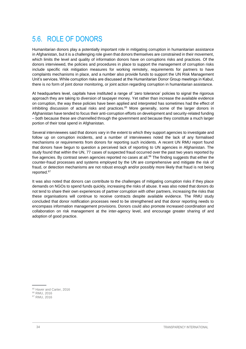## <span id="page-39-0"></span>5.6. ROLE OF DONORS

Humanitarian donors play a potentially important role in mitigating corruption in humanitarian assistance in Afghanistan, but it is a challenging role given that donors themselves are constrained in their movement, which limits the level and quality of information donors have on corruptions risks and practices. Of the donors interviewed, the policies and procedures in place to support the management of corruption risks include specific risk mitigation measures for working remotely, requirements for partners to have complaints mechanisms in place, and a number also provide funds to support the UN Risk Management Unit's services. While corruption risks are discussed at the Humanitarian Donor Group meetings in Kabul, there is no form of joint donor monitoring, or joint action regarding corruption in humanitarian assistance.

At headquarters level, capitals have instituted a range of 'zero tolerance' policies to signal the rigorous approach they are taking to diversion of taxpayer money. Yet rather than increase the available evidence on corruption, the way these policies have been applied and interpreted has sometimes had the effect of inhibiting discussion of actual risks and practices. <sup>65</sup> More generally, some of the larger donors in Afghanistan have tended to focus their anti-corruption efforts on development and security-related funding – both because these are channelled through the government and because they constitute a much larger portion of their total spend in Afghanistan.

Several interviewees said that donors vary in the extent to which they support agencies to investigate and follow up on corruption incidents, and a number of interviewees noted the lack of any formalised mechanisms or requirements from donors for reporting such incidents. A recent UN RMU report found that donors have begun to question a perceived lack of reporting to UN agencies in Afghanistan. The study found that within the UN, 77 cases of suspected fraud occurred over the past two years reported by five agencies. By contrast seven agencies reported no cases at all. <sup>66</sup> The finding suggests that either the counter-fraud processes and systems employed by the UN are comprehensive and mitigate the risk of fraud, or detection mechanisms are not robust enough and/or possibly more likely that fraud is not being reported.<sup>67</sup>

It was also noted that donors can contribute to the challenges of mitigating corruption risks if they place demands on NGOs to spend funds quickly, increasing the risks of abuse. It was also noted that donors do not tend to share their own experiences of partner corruption with other partners, increasing the risks that these organisations will continue to receive contracts despite available evidence. The RMU study concluded that donor notification processes need to be strengthened and that donor reporting needs to encompass information management provisions. Donors could also promote increased coordination and collaboration on risk management at the inter-agency level, and encourage greater sharing of and adoption of good practice.

<sup>&</sup>lt;sup>65</sup> Haver and Carter, 2016

<sup>66</sup> RMU, 2016

<sup>67</sup> RMU, 2016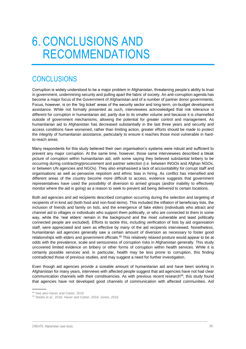## <span id="page-40-0"></span>6. CONCLUSIONS AND RECOMMENDATIONS

## <span id="page-40-1"></span>**CONCLUSIONS**

Corruption is widely understood to be a major problem in Afghanistan, threatening people's ability to trust in government, undermining security and pulling apart the fabric of society. An anti-corruption agenda has become a major focus of the Government of Afghanistan and of a number of partner donor governments. Focus, however, is on the 'big ticket' areas of the security sector and long-term, on-budget development assistance. While not formally presented as such, interviewees acknowledged that risk tolerance is different for corruption in humanitarian aid, partly due to its smaller volume and because it is channelled outside of government mechanisms, allowing the potential for greater control and management. As humanitarian aid to Afghanistan has decreased substantially in the last three years and security and access conditions have worsened, rather than limiting action, greater efforts should be made to protect the integrity of humanitarian assistance, particularly to ensure it reaches those most vulnerable in hardto-reach areas.

Many respondents for this study believed their own organisation's systems were robust and sufficient to prevent any major corruption. At the same time, however, those same interviewees described a bleak picture of corruption within humanitarian aid, with some saying they believed substantial bribery to be occurring during contracting/procurement and partner selection (i.e. between INGOs and Afghan NGOs, or between UN agencies and NGOs). They also emphasised a lack of accountability for corrupt staff and organisations as well as pervasive nepotism and ethnic bias in hiring. As conflict has intensified and different areas of the country become more difficult to access, evidence suggests that government representatives have used the possibility of diversion to armed groups (and/or inability to effectively monitor where the aid is going) as a reason to seek to prevent aid being delivered to certain locations.

Both aid agencies and aid recipients described corruption occurring during the selection and targeting of recipients of in-kind aid (both food and non-food items). This included the inflation of beneficiary lists, the inclusion of friends and family on lists, and the emergence of fake elders (individuals who attract and channel aid to villages or individuals who support them politically, or who are connected to them in some way, while the 'real elders' remain in the background and the most vulnerable and least politically connected people are excluded). Efforts to tackle this, including verification of lists by aid organisation staff, were appreciated and seen as effective by many of the aid recipients interviewed. Nonetheless, humanitarian aid agencies generally saw a certain amount of diversion as necessary to foster good relationships with elders and government officials.<sup>68</sup> This relatively relaxed posture would appear to be at odds with the prevalence, scale and seriousness of corruption risks in Afghanistan generally. This study uncovered limited evidence on bribery or other forms of corruption within health services. While it is certainly possible services and, in particular, health may be less prone to corruption, this finding contradicted those of previous studies, and may suggest a need for further investigation.

Even though aid agencies provide a sizeable amount of humanitarian aid and have been working in Afghanistan for many years, interviews with affected people suggest that aid agencies have not had clear communication channels with their constituencies. As with previous recent research<sup>69</sup>, this study found that agencies have not developed good channels of communication with affected communities. Aid

<sup>&</sup>lt;sup>68</sup> See also Haver and Carter, 2016

<sup>69</sup> Steets et al., 2016; Haver and Carter, 2016; Jones, 2016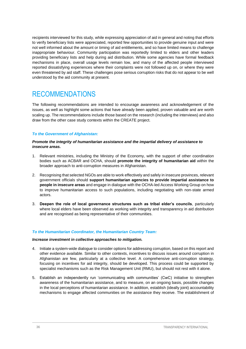recipients interviewed for this study, while expressing appreciation of aid in general and noting that efforts to verify beneficiary lists were appreciated, reported few opportunities to provide genuine input and were not well informed about the amount or timing of aid entitlements, and so have limited means to challenge inappropriate behaviour. Community participation was reportedly limited to elders and other leaders providing beneficiary lists and help during aid distribution. While some agencies have formal feedback mechanisms in place, overall usage levels remain low, and many of the affected people interviewed reported dissatisfying experiences where their complaints were not followed up on, or where they were even threatened by aid staff. These challenges pose serious corruption risks that do not appear to be well understood by the aid community at present.

## <span id="page-41-0"></span>RECOMMENDATIONS

The following recommendations are intended to encourage awareness and acknowledgement of the issues, as well as highlight some actions that have already been applied, proven valuable and are worth scaling up. The recommendations include those based on the research (including the interviews) and also draw from the other case study contexts within the CREATE project.

#### *To the Government of Afghanistan:*

#### *Promote the integrity of humanitarian assistance and the impartial delivery of assistance to insecure areas.*

- 1. Relevant ministries, including the Ministry of the Economy, with the support of other coordination bodies such as ACBAR and OCHA, should **promote the integrity of humanitarian aid** within the broader approach to anti-corruption measures in Afghanistan.
- 2. Recognising that selected NGOs are able to work effectively and safely in insecure provinces, relevant government officials should **support humanitarian agencies to provide impartial assistance to people in insecure areas** and engage in dialogue with the OCHA-led Access Working Group on how to improve humanitarian access to such populations, including negotiating with non-state armed actors.
- 3. **Deepen the role of local governance structures such as tribal elder's councils**, particularly where local elders have been observed as working with integrity and transparency in aid distribution and are recognised as being representative of their communities.

#### *To the Humanitarian Coordinator, the Humanitarian Country Team:*

#### *Increase investment in collective approaches to mitigation.*

- 4. Initiate a system-wide dialogue to consider options for addressing corruption, based on this report and other evidence available. Similar to other contexts, incentives to discuss issues around corruption in Afghanistan are few, particularly at a collective level. A comprehensive anti-corruption strategy, focusing on incentives for aid integrity, should be developed. This process could be supported by specialist mechanisms such as the Risk Management Unit (RMU), but should not rest with it alone.
- 5. Establish an independently run 'communicating with communities' (CwC) initiative to strengthen awareness of the humanitarian assistance, and to measure, on an ongoing basis, possible changes in the local perceptions of humanitarian assistance. In addition, establish (ideally joint) accountability mechanisms to engage affected communities on the assistance they receive. The establishment of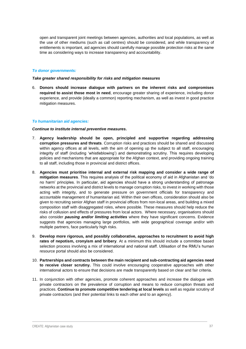open and transparent joint meetings between agencies, authorities and local populations, as well as the use of other mediums (such as call centres) should be considered, and while transparency of entitlements is important, aid agencies should carefully manage possible protection risks at the same time as considering ways to increase transparency and accountability.

#### *To donor governments:*

#### *Take greater shared responsibility for risks and mitigation measures*

6. **Donors should increase dialogue with partners on the inherent risks and compromises required to assist those most in need**, encourage greater sharing of experience, including donor experience, and provide (ideally a common) reporting mechanism, as well as invest in good practice mitigation measures.

#### *To humanitarian aid agencies:*

#### *Continue to institute internal preventive measures.*

- 7. **Agency leadership should be open, principled and supportive regarding addressing corruption pressures and threats**. Corruption risks and practices should be shared and discussed within agency offices at all levels, with the aim of opening up the subject to all staff, encouraging integrity of staff (including 'whistleblowing') and demonstrating scrutiny. This requires developing policies and mechanisms that are appropriate for the Afghan context, and providing ongoing training to all staff, including those in provincial and district offices.
- 8. **Agencies must prioritise internal and external risk mapping and consider a wide range of mitigation measures**. This requires analysis of the political economy of aid in Afghanistan and 'do no harm' principles. In particular, aid agencies should have a strong understanding of patronage networks at the provincial and district levels to manage corruption risks, to invest in working with those acting with integrity, and to generate pressure on government officials for transparency and accountable management of humanitarian aid. Within their own offices, consideration should also be given to recruiting senior Afghan staff in provincial offices from non-local areas, and building a mixed composition staff with disaggregated roles, where possible. These measures should help reduce the risks of collusion and effects of pressures from local actors. Where necessary, organisations should also consider *pausing and/or limiting activities* where they have significant concerns. Evidence suggests that agencies managing large portfolios, with wide geographical coverage and/or with multiple partners, face particularly high risks.
- 9. **Develop more rigorous, and possibly collaborative, approaches to recruitment to avoid high rates of nepotism, cronyism and bribery**. At a minimum this should include a committee based selection process involving a mix of international and national staff. Utilisation of the RMU's human resource portal should also be considered.
- 10. **Partnerships and contracts between the main recipient and sub-contracting aid agencies need to receive closer scrutiny.** This could involve encouraging cooperative approaches with other international actors to ensure that decisions are made transparently based on clear and fair criteria.
- 11. In conjunction with other agencies, promote coherent approaches and increase the dialogue with private contractors on the prevalence of corruption and means to reduce corruption threats and practices. **Continue to promote competitive tendering at local levels** as well as regular scrutiny of private contractors (and their potential links to each other and to an agency).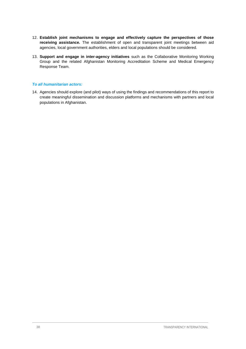- 12. **Establish joint mechanisms to engage and effectively capture the perspectives of those receiving assistance.** The establishment of open and transparent joint meetings between aid agencies, local government authorities, elders and local populations should be considered.
- 13. **Support and engage in inter-agency initiatives** such as the Collaborative Monitoring Working Group and the related Afghanistan Monitoring Accreditation Scheme and Medical Emergency Response Team.

#### *To all humanitarian actors:*

14. Agencies should explore (and pilot) ways of using the findings and recommendations of this report to create meaningful dissemination and discussion platforms and mechanisms with partners and local populations in Afghanistan.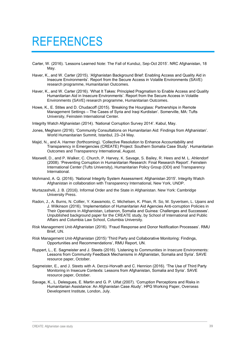## <span id="page-44-0"></span>REFERENCES

- Carter, W. (2016). 'Lessons Learned Note: The Fall of Kunduz, Sep-Oct 2015'. NRC Afghanistan, 18 May.
- Haver, K., and W. Carter (2015). 'Afghanistan Background Brief: Enabling Access and Quality Aid in Insecure Environments'. Report from the Secure Access in Volatile Environments (SAVE) research programme, Humanitarian Outcomes.
- Haver, K., and W. Carter (2016). 'What It Takes: Principled Pragmatism to Enable Access and Quality Humanitarian Aid in Insecure Environments'. Report from the Secure Access in Volatile Environments (SAVE) research programme, Humanitarian Outcomes.
- Howe, K., E. Stites and D. Chudacoff (2015). 'Breaking the Hourglass: Partnerships in Remote Management Settings – The Cases of Syria and Iraqi Kurdistan'. Somerville, MA: Tufts University, Feinstein International Center.
- Integrity Watch Afghanistan (2014). 'National Corruption Survey 2014'. Kabul, May.
- Jones, Meghann (2016). 'Community Consultations on Humanitarian Aid: Findings from Afghanistan'. World Humanitarian Summit, Istanbul, 23–24 May.
- Majid, N., and A. Harmer (forthcoming). 'Collective Resolution to Enhance Accountability and Transparency in Emergencies (CREATE) Project: Southern Somalia Case Study'. Humanitarian Outcomes and Transparency International, August.
- Maxwell, D., and P. Walker, C. Church, P. Harvey, K. Savage, S. Bailey, R. Hees and M. L. Ahlendorf (2008). 'Preventing Corruption in Humanitarian Research: Final Research Report'. Feinstein International Center (Tufts University), Humanitarian Policy Group (ODI) and Transparency International.
- Mohmand, A. Q. (2016). 'National Integrity System Assessment: Afghanistan 2015'. Integrity Watch Afghanistan in collaboration with Transparency International, New York, UNDP.
- Murtazashvili, J. B. (2016). Informal Order and the State in Afghanistan. New York: Cambridge University Press.
- Radon, J., A. Burns, N. Collier, Y. Kawamoto, C. Michelsen, K. Phan, R. So, M. Syvertsen, L. Upans and J. Wilkinson (2016). 'Implementation of Humanitarian Aid Agencies Anti-corruption Policies in Their Operations in Afghanistan, Lebanon, Somalia and Guinea: Challenges and Successes'. Unpublished background paper for the CREATE study, by School of International and Public Affairs and Columbia Law School, Columbia University.
- Risk Management Unit-Afghanistan (2016). 'Fraud Response and Donor Notification Processes'. RMU Brief, UN.
- Risk Management Unit-Afghanistan (2015) 'Third Party and Collaborative Monitoring: Findings, Opportunities and Recommendations', RMU Report, UN.
- Ruppert, L., E. Sagmeister and J. Steets (2016). 'Listening to Communities in Insecure Environments: Lessons from Community Feedback Mechanisms in Afghanistan, Somalia and Syria'. SAVE resource paper, October.
- Sagmeister, E., and J. Steets with A. Derzsi-Horvath and C. Hennion (2016). 'The Use of Third Party Monitoring in Insecure Contexts: Lessons from Afghanistan, Somalia and Syria'. SAVE resource paper, October.
- Savage, K., L. Delesgues, E. Martin and G. P. Ulfat (2007). 'Corruption Perceptions and Risks in Humanitarian Assistance: An Afghanistan Case Atudy'. HPG Working Paper, Overseas Development Institute, London, July.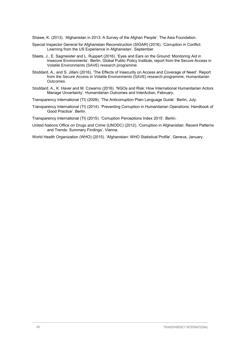Shawe, K. (2013). 'Afghanistan in 2013: A Survey of the Afghan People'. The Asia Foundation.

- Special Inspector General for Afghanistan Reconstruction (SIGAR) (2016). 'Corruption in Conflict: Learning from the US Experience in Afghanistan'. September.
- Steets, J., E. Sagmeister and L. Ruppert (2016). 'Eyes and Ears on the Ground: Monitoring Aid in Insecure Environments'. Berlin, Global Public Policy Institute, report from the Secure Access in Volatile Environments (SAVE) research programme.
- Stoddard, A., and S. Jillani (2016). 'The Effects of Insecurity on Access and Coverage of Need'. Report from the Secure Access in Volatile Environments (SAVE) research programme, Humanitarian Outcomes.
- Stoddard, A., K. Haver and M. Czwarno (2016). 'NGOs and Risk: How International Humanitarian Actors Manage Uncertainty'. Humanitarian Outcomes and InterAction, February.

Transparency International (TI) (2009). 'The Anticorruption Plain Language Guide'. Berlin, July.

Transparency International (TI) (2014). 'Preventing Corruption in Humanitarian Operations: Handbook of Good Practice'. Berlin.

Transparency International (TI) (2015). 'Corruption Perceptions Index 2015'. Berlin.

United Nations Office on Drugs and Crime (UNODC) (2012). 'Corruption in Afghanistan: Recent Patterns and Trends: Summary Findings'. Vienna.

World Health Organization (WHO) (2015). 'Afghanistan: WHO Statistical Profile'. Geneva, January.